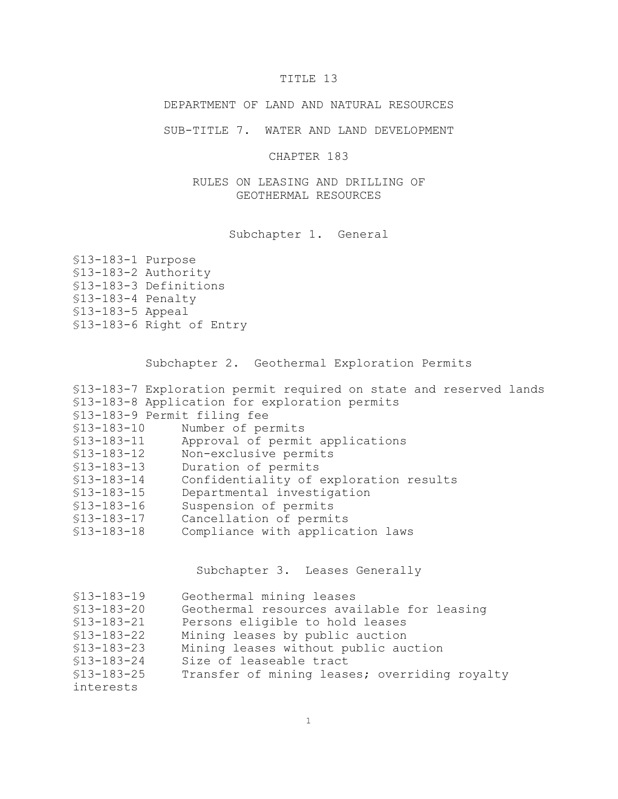# TITLE 13

DEPARTMENT OF LAND AND NATURAL RESOURCES

SUB-TITLE 7. WATER AND LAND DEVELOPMENT

CHAPTER 183

RULES ON LEASING AND DRILLING OF GEOTHERMAL RESOURCES

Subchapter 1. General

| §13-183-1 Purpose   |                          |
|---------------------|--------------------------|
|                     | §13-183-2 Authority      |
|                     | §13-183-3 Definitions    |
| $$13-183-4$ Penalty |                          |
| $$13-183-5$ Appeal  |                          |
|                     | §13-183-6 Right of Entry |

Subchapter 2. Geothermal Exploration Permits

|              | \$13-183-7 Exploration permit required on state and reserved lands |
|--------------|--------------------------------------------------------------------|
|              | \$13-183-8 Application for exploration permits                     |
|              | \$13-183-9 Permit filing fee                                       |
| $$13-183-10$ | Number of permits                                                  |
| $$13-183-11$ | Approval of permit applications                                    |
| $$13-183-12$ | Non-exclusive permits                                              |
| $$13-183-13$ | Duration of permits                                                |
| $$13-183-14$ | Confidentiality of exploration results                             |
| $$13-183-15$ | Departmental investigation                                         |
| $$13-183-16$ | Suspension of permits                                              |
| $$13-183-17$ | Cancellation of permits                                            |
| $$13-183-18$ | Compliance with application laws                                   |
|              |                                                                    |

Subchapter 3. Leases Generally

| $$13-183-19$ | Geothermal mining leases                      |
|--------------|-----------------------------------------------|
| $$13-183-20$ | Geothermal resources available for leasing    |
| $$13-183-21$ | Persons eligible to hold leases               |
| $$13-183-22$ | Mining leases by public auction               |
| $$13-183-23$ | Mining leases without public auction          |
| $$13-183-24$ | Size of leaseable tract                       |
| $$13-183-25$ | Transfer of mining leases; overriding royalty |
| interests    |                                               |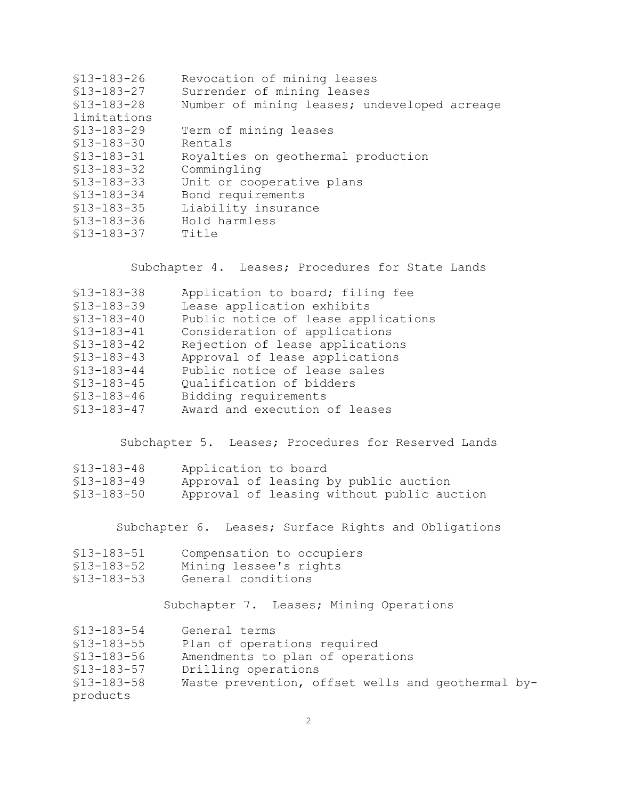| $$13-183-26$ | Revocation of mining leases                  |
|--------------|----------------------------------------------|
| $$13-183-27$ | Surrender of mining leases                   |
| $$13-183-28$ | Number of mining leases; undeveloped acreage |
| limitations  |                                              |
| $$13-183-29$ | Term of mining leases                        |
| $$13-183-30$ | Rentals                                      |
| $$13-183-31$ | Royalties on geothermal production           |
| $$13-183-32$ | Commingling                                  |
| $$13-183-33$ | Unit or cooperative plans                    |
| $$13-183-34$ | Bond requirements                            |
| $$13-183-35$ | Liability insurance                          |
| $$13-183-36$ | Hold harmless                                |
| $$13-183-37$ | Title                                        |
|              |                                              |

Subchapter 4. Leases; Procedures for State Lands

| $$13-183-38$ | Application to board; filing fee    |
|--------------|-------------------------------------|
| $$13-183-39$ | Lease application exhibits          |
| $$13-183-40$ | Public notice of lease applications |
| $$13-183-41$ | Consideration of applications       |
| $$13-183-42$ | Rejection of lease applications     |
| $$13-183-43$ | Approval of lease applications      |
| $$13-183-44$ | Public notice of lease sales        |
| $$13-183-45$ | Qualification of bidders            |
| $$13-183-46$ | Bidding requirements                |
| $$13-183-47$ | Award and execution of leases       |

Subchapter 5. Leases; Procedures for Reserved Lands

| \$13-183-48 | Application to board                       |  |  |  |
|-------------|--------------------------------------------|--|--|--|
| \$13-183-49 | Approval of leasing by public auction      |  |  |  |
| \$13-183-50 | Approval of leasing without public auction |  |  |  |

Subchapter 6. Leases; Surface Rights and Obligations

| $$13-183-51$ |                        |  | Compensation to occupiers |
|--------------|------------------------|--|---------------------------|
| $$13-183-52$ | Mining lessee's rights |  |                           |

- §13-183-53 General conditions
- 

Subchapter 7. Leases; Mining Operations

| $$13-183-54$ | General terms |  |
|--------------|---------------|--|
|              |               |  |

- §13-183-55 Plan of operations required
- §13-183-56 Amendments to plan of operations
- §13-183-57 Drilling operations

<sup>§13-183-58</sup> Waste prevention, offset wells and geothermal byproducts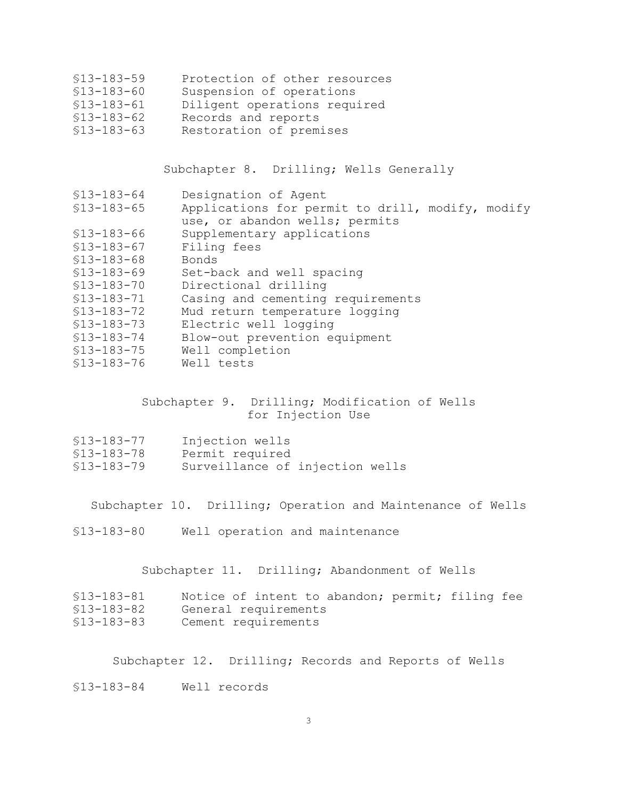- §13-183-59 Protection of other resources
- §13-183-60 Suspension of operations
- §13-183-61 Diligent operations required
- §13-183-62 Records and reports
- §13-183-63 Restoration of premises

Subchapter 8. Drilling; Wells Generally

§13-183-64 Designation of Agent §13-183-65 Applications for permit to drill, modify, modify use, or abandon wells; permits §13-183-66 Supplementary applications §13-183-67 Filing fees §13-183-68 Bonds §13-183-69 Set-back and well spacing §13-183-70 Directional drilling Casing and cementing requirements §13-183-72 Mud return temperature logging §13-183-73 Electric well logging §13-183-74 Blow-out prevention equipment §13-183-75 Well completion §13-183-76 Well tests

#### Subchapter 9. Drilling; Modification of Wells for Injection Use

| $$13-183-77$ | Injection wells                 |  |  |
|--------------|---------------------------------|--|--|
| $$13-183-78$ | Permit required                 |  |  |
| $$13-183-79$ | Surveillance of injection wells |  |  |

Subchapter 10. Drilling; Operation and Maintenance of Wells

§13-183-80 Well operation and maintenance

Subchapter 11. Drilling; Abandonment of Wells

| \$13-183-81  |                      |  | Notice of intent to abandon; permit; filing fee |  |  |
|--------------|----------------------|--|-------------------------------------------------|--|--|
| $$13-183-82$ | General requirements |  |                                                 |  |  |
| \$13-183-83  | Cement requirements  |  |                                                 |  |  |

Subchapter 12. Drilling; Records and Reports of Wells

§13-183-84 Well records

3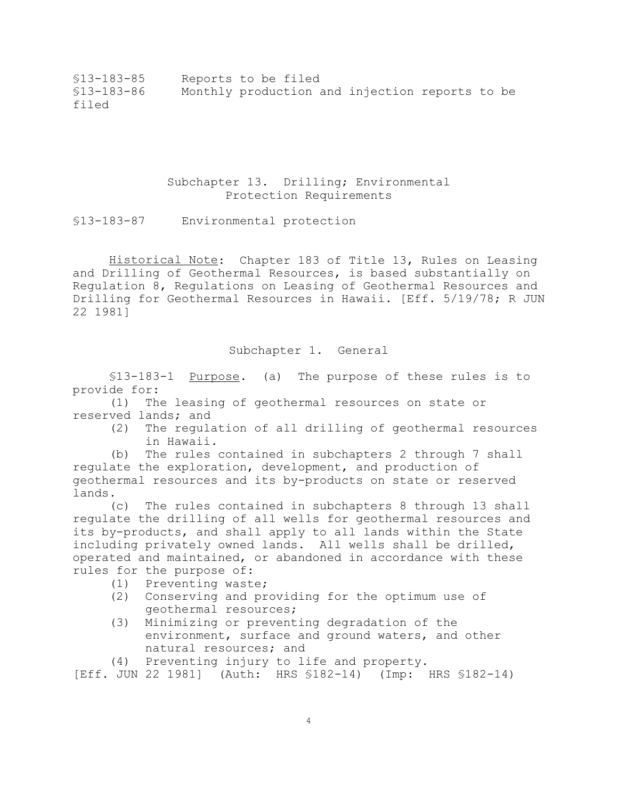§13-183-85 Reports to be filed §13-183-86 Monthly production and injection reports to be filed

## Subchapter 13. Drilling; Environmental Protection Requirements

§13-183-87 Environmental protection

Historical Note: Chapter 183 of Title 13, Rules on Leasing and Drilling of Geothermal Resources, is based substantially on Regulation 8, Regulations on Leasing of Geothermal Resources and Drilling for Geothermal Resources in Hawaii. [Eff. 5/19/78; R JUN 22 1981]

Subchapter 1. General

§13-183-1 Purpose. (a) The purpose of these rules is to provide for:

(1) The leasing of geothermal resources on state or reserved lands; and

(2) The regulation of all drilling of geothermal resources in Hawaii.

(b) The rules contained in subchapters 2 through 7 shall regulate the exploration, development, and production of geothermal resources and its by-products on state or reserved lands.

(c) The rules contained in subchapters 8 through 13 shall regulate the drilling of all wells for geothermal resources and its by-products, and shall apply to all lands within the State including privately owned lands. All wells shall be drilled, operated and maintained, or abandoned in accordance with these rules for the purpose of:

(1) Preventing waste;

- (2) Conserving and providing for the optimum use of geothermal resources;
- (3) Minimizing or preventing degradation of the environment, surface and ground waters, and other natural resources; and

(4) Preventing injury to life and property.

[Eff. JUN 22 1981] (Auth: HRS §182-14) (Imp: HRS §182-14)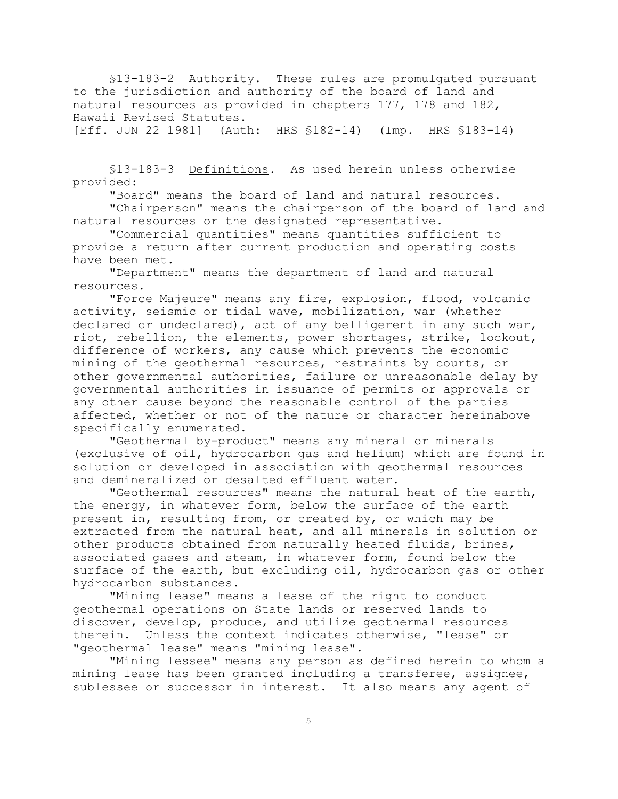§13-183-2 Authority. These rules are promulgated pursuant to the jurisdiction and authority of the board of land and natural resources as provided in chapters 177, 178 and 182, Hawaii Revised Statutes.

[Eff. JUN 22 1981] (Auth: HRS §182-14) (Imp. HRS §183-14)

§13-183-3 Definitions. As used herein unless otherwise provided:

"Board" means the board of land and natural resources.

"Chairperson" means the chairperson of the board of land and natural resources or the designated representative.

"Commercial quantities" means quantities sufficient to provide a return after current production and operating costs have been met.

"Department" means the department of land and natural resources.

"Force Majeure" means any fire, explosion, flood, volcanic activity, seismic or tidal wave, mobilization, war (whether declared or undeclared), act of any belligerent in any such war, riot, rebellion, the elements, power shortages, strike, lockout, difference of workers, any cause which prevents the economic mining of the geothermal resources, restraints by courts, or other governmental authorities, failure or unreasonable delay by governmental authorities in issuance of permits or approvals or any other cause beyond the reasonable control of the parties affected, whether or not of the nature or character hereinabove specifically enumerated.

"Geothermal by-product" means any mineral or minerals (exclusive of oil, hydrocarbon gas and helium) which are found in solution or developed in association with geothermal resources and demineralized or desalted effluent water.

"Geothermal resources" means the natural heat of the earth, the energy, in whatever form, below the surface of the earth present in, resulting from, or created by, or which may be extracted from the natural heat, and all minerals in solution or other products obtained from naturally heated fluids, brines, associated gases and steam, in whatever form, found below the surface of the earth, but excluding oil, hydrocarbon gas or other hydrocarbon substances.

"Mining lease" means a lease of the right to conduct geothermal operations on State lands or reserved lands to discover, develop, produce, and utilize geothermal resources therein. Unless the context indicates otherwise, "lease" or "geothermal lease" means "mining lease".

"Mining lessee" means any person as defined herein to whom a mining lease has been granted including a transferee, assignee, sublessee or successor in interest. It also means any agent of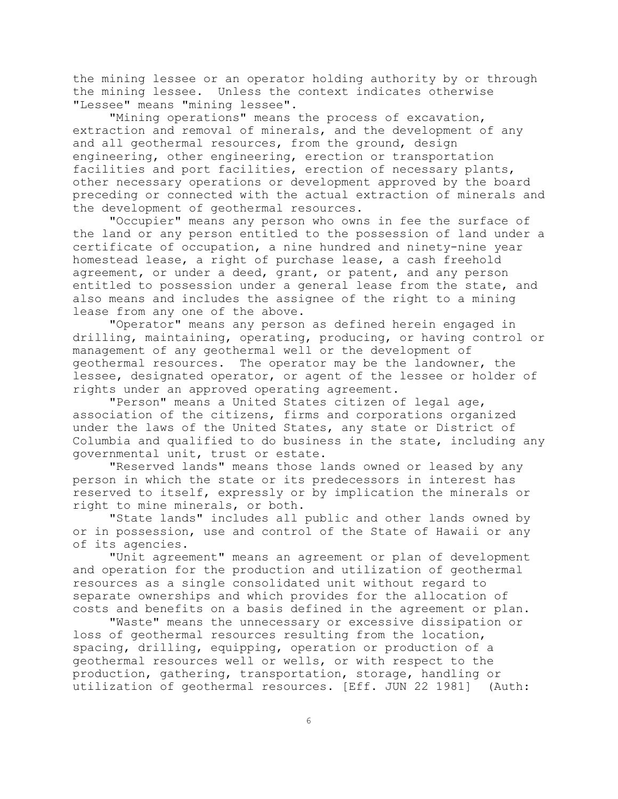the mining lessee or an operator holding authority by or through the mining lessee. Unless the context indicates otherwise "Lessee" means "mining lessee".

"Mining operations" means the process of excavation, extraction and removal of minerals, and the development of any and all geothermal resources, from the ground, design engineering, other engineering, erection or transportation facilities and port facilities, erection of necessary plants, other necessary operations or development approved by the board preceding or connected with the actual extraction of minerals and the development of geothermal resources.

"Occupier" means any person who owns in fee the surface of the land or any person entitled to the possession of land under a certificate of occupation, a nine hundred and ninety-nine year homestead lease, a right of purchase lease, a cash freehold agreement, or under a deed, grant, or patent, and any person entitled to possession under a general lease from the state, and also means and includes the assignee of the right to a mining lease from any one of the above.

"Operator" means any person as defined herein engaged in drilling, maintaining, operating, producing, or having control or management of any geothermal well or the development of geothermal resources. The operator may be the landowner, the lessee, designated operator, or agent of the lessee or holder of rights under an approved operating agreement.

"Person" means a United States citizen of legal age, association of the citizens, firms and corporations organized under the laws of the United States, any state or District of Columbia and qualified to do business in the state, including any governmental unit, trust or estate.

"Reserved lands" means those lands owned or leased by any person in which the state or its predecessors in interest has reserved to itself, expressly or by implication the minerals or right to mine minerals, or both.

"State lands" includes all public and other lands owned by or in possession, use and control of the State of Hawaii or any of its agencies.

"Unit agreement" means an agreement or plan of development and operation for the production and utilization of geothermal resources as a single consolidated unit without regard to separate ownerships and which provides for the allocation of costs and benefits on a basis defined in the agreement or plan.

"Waste" means the unnecessary or excessive dissipation or loss of geothermal resources resulting from the location, spacing, drilling, equipping, operation or production of a geothermal resources well or wells, or with respect to the production, gathering, transportation, storage, handling or utilization of geothermal resources. [Eff. JUN 22 1981] (Auth: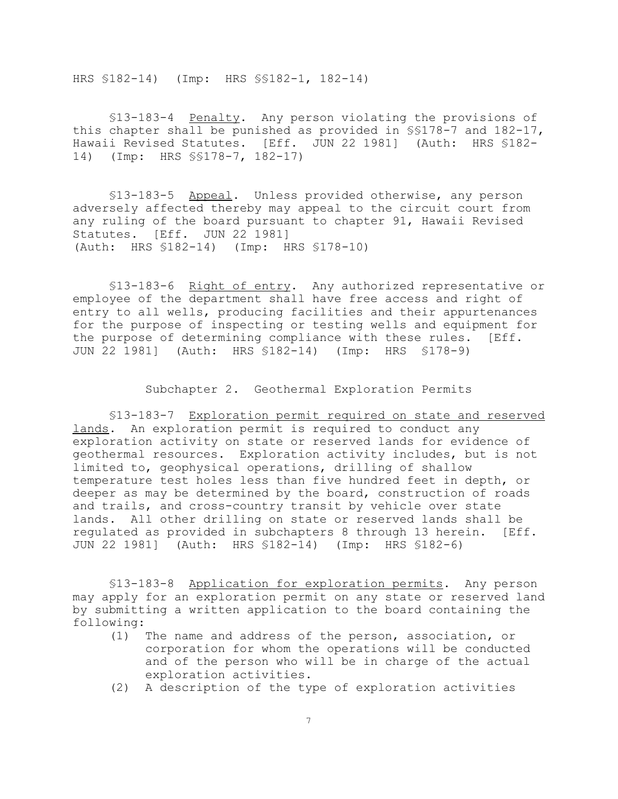HRS §182-14) (Imp: HRS §§182-1, 182-14)

§13-183-4 Penalty. Any person violating the provisions of this chapter shall be punished as provided in  $\S$ \$178-7 and 182-17, Hawaii Revised Statutes. [Eff. JUN 22 1981] (Auth: HRS §182-14) (Imp: HRS §§178-7, 182-17)

§13-183-5 Appeal. Unless provided otherwise, any person adversely affected thereby may appeal to the circuit court from any ruling of the board pursuant to chapter 91, Hawaii Revised Statutes. [Eff. JUN 22 1981] (Auth: HRS §182-14) (Imp: HRS §178-10)

§13-183-6 Right of entry. Any authorized representative or employee of the department shall have free access and right of entry to all wells, producing facilities and their appurtenances for the purpose of inspecting or testing wells and equipment for the purpose of determining compliance with these rules. [Eff. JUN 22 1981] (Auth: HRS §182-14) (Imp: HRS §178-9)

Subchapter 2. Geothermal Exploration Permits

§13-183-7 Exploration permit required on state and reserved lands. An exploration permit is required to conduct any exploration activity on state or reserved lands for evidence of geothermal resources. Exploration activity includes, but is not limited to, geophysical operations, drilling of shallow temperature test holes less than five hundred feet in depth, or deeper as may be determined by the board, construction of roads and trails, and cross-country transit by vehicle over state lands. All other drilling on state or reserved lands shall be regulated as provided in subchapters 8 through 13 herein. [Eff. JUN 22 1981] (Auth: HRS §182-14) (Imp: HRS §182-6)

§13-183-8 Application for exploration permits. Any person may apply for an exploration permit on any state or reserved land by submitting a written application to the board containing the following:

- (1) The name and address of the person, association, or corporation for whom the operations will be conducted and of the person who will be in charge of the actual exploration activities.
- (2) A description of the type of exploration activities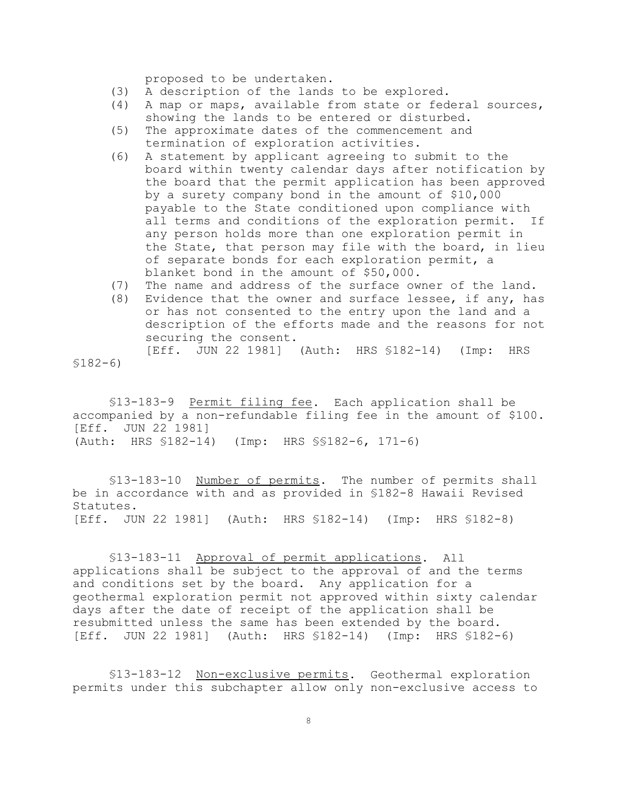proposed to be undertaken.

- (3) A description of the lands to be explored.
- (4) A map or maps, available from state or federal sources, showing the lands to be entered or disturbed.
- (5) The approximate dates of the commencement and termination of exploration activities.
- (6) A statement by applicant agreeing to submit to the board within twenty calendar days after notification by the board that the permit application has been approved by a surety company bond in the amount of \$10,000 payable to the State conditioned upon compliance with all terms and conditions of the exploration permit. If any person holds more than one exploration permit in the State, that person may file with the board, in lieu of separate bonds for each exploration permit, a blanket bond in the amount of \$50,000.
- (7) The name and address of the surface owner of the land.
- (8) Evidence that the owner and surface lessee, if any, has or has not consented to the entry upon the land and a description of the efforts made and the reasons for not securing the consent. [Eff. JUN 22 1981] (Auth: HRS §182-14) (Imp: HRS

§182-6)

§13-183-9 Permit filing fee. Each application shall be accompanied by a non-refundable filing fee in the amount of \$100. [Eff. JUN 22 1981] (Auth: HRS §182-14) (Imp: HRS §§182-6, 171-6)

§13-183-10 Number of permits. The number of permits shall be in accordance with and as provided in §182-8 Hawaii Revised Statutes. [Eff. JUN 22 1981] (Auth: HRS §182-14) (Imp: HRS §182-8)

§13-183-11 Approval of permit applications. All applications shall be subject to the approval of and the terms and conditions set by the board. Any application for a geothermal exploration permit not approved within sixty calendar days after the date of receipt of the application shall be resubmitted unless the same has been extended by the board. [Eff. JUN 22 1981] (Auth: HRS §182-14) (Imp: HRS §182-6)

§13-183-12 Non-exclusive permits. Geothermal exploration permits under this subchapter allow only non-exclusive access to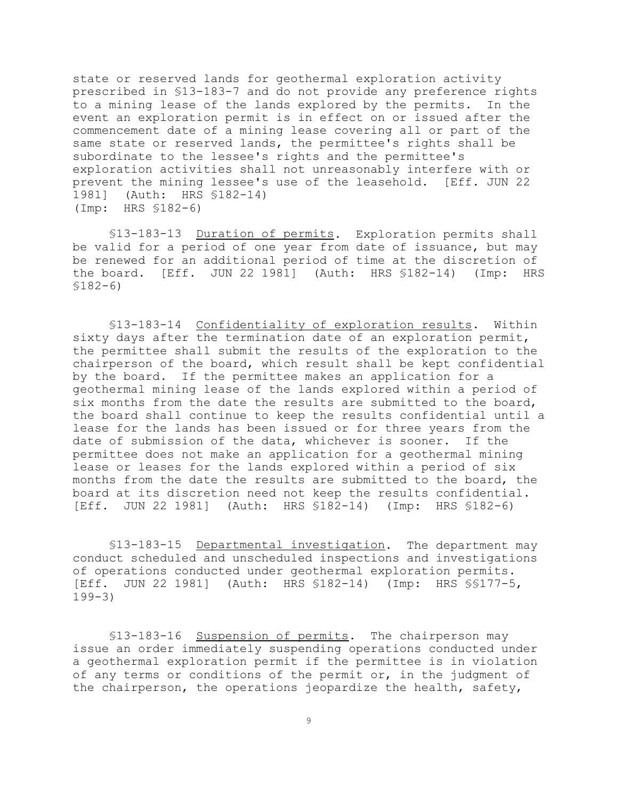state or reserved lands for geothermal exploration activity prescribed in §13-183-7 and do not provide any preference rights to a mining lease of the lands explored by the permits. In the event an exploration permit is in effect on or issued after the commencement date of a mining lease covering all or part of the same state or reserved lands, the permittee's rights shall be subordinate to the lessee's rights and the permittee's exploration activities shall not unreasonably interfere with or prevent the mining lessee's use of the leasehold. [Eff. JUN 22 1981] (Auth: HRS §182-14) (Imp: HRS §182-6)

§13-183-13 Duration of permits. Exploration permits shall be valid for a period of one year from date of issuance, but may be renewed for an additional period of time at the discretion of the board. [Eff. JUN 22 1981] (Auth: HRS §182-14) (Imp: HRS §182-6)

§13-183-14 Confidentiality of exploration results. Within sixty days after the termination date of an exploration permit, the permittee shall submit the results of the exploration to the chairperson of the board, which result shall be kept confidential by the board. If the permittee makes an application for a geothermal mining lease of the lands explored within a period of six months from the date the results are submitted to the board, the board shall continue to keep the results confidential until a lease for the lands has been issued or for three years from the date of submission of the data, whichever is sooner. If the permittee does not make an application for a geothermal mining lease or leases for the lands explored within a period of six months from the date the results are submitted to the board, the board at its discretion need not keep the results confidential. [Eff. JUN 22 1981] (Auth: HRS §182-14) (Imp: HRS §182-6)

§13-183-15 Departmental investigation. The department may conduct scheduled and unscheduled inspections and investigations of operations conducted under geothermal exploration permits. [Eff. JUN 22 1981] (Auth: HRS §182-14) (Imp: HRS §§177-5, 199-3)

§13-183-16 Suspension of permits. The chairperson may issue an order immediately suspending operations conducted under a geothermal exploration permit if the permittee is in violation of any terms or conditions of the permit or, in the judgment of the chairperson, the operations jeopardize the health, safety,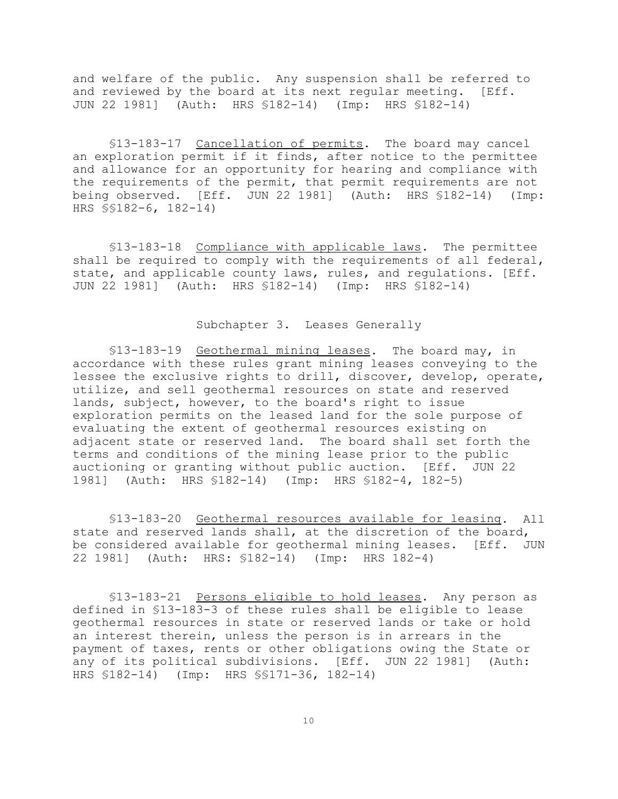and welfare of the public. Any suspension shall be referred to and reviewed by the board at its next regular meeting. [Eff. JUN 22 1981] (Auth: HRS §182-14) (Imp: HRS §182-14)

§13-183-17 Cancellation of permits. The board may cancel an exploration permit if it finds, after notice to the permittee and allowance for an opportunity for hearing and compliance with the requirements of the permit, that permit requirements are not being observed. [Eff. JUN 22 1981] (Auth: HRS §182-14) (Imp: HRS §§182-6, 182-14)

§13-183-18 Compliance with applicable laws. The permittee shall be required to comply with the requirements of all federal, state, and applicable county laws, rules, and regulations. [Eff. JUN 22 1981] (Auth: HRS §182-14) (Imp: HRS §182-14)

Subchapter 3. Leases Generally

§13-183-19 Geothermal mining leases. The board may, in accordance with these rules grant mining leases conveying to the lessee the exclusive rights to drill, discover, develop, operate, utilize, and sell geothermal resources on state and reserved lands, subject, however, to the board's right to issue exploration permits on the leased land for the sole purpose of evaluating the extent of geothermal resources existing on adjacent state or reserved land. The board shall set forth the terms and conditions of the mining lease prior to the public auctioning or granting without public auction. [Eff. JUN 22 1981] (Auth: HRS §182-14) (Imp: HRS §182-4, 182-5)

§13-183-20 Geothermal resources available for leasing. All state and reserved lands shall, at the discretion of the board, be considered available for geothermal mining leases. [Eff. JUN 22 1981] (Auth: HRS: §182-14) (Imp: HRS 182-4)

§13-183-21 Persons eligible to hold leases. Any person as defined in §13-183-3 of these rules shall be eligible to lease geothermal resources in state or reserved lands or take or hold an interest therein, unless the person is in arrears in the payment of taxes, rents or other obligations owing the State or any of its political subdivisions. [Eff. JUN 22 1981] (Auth: HRS §182-14) (Imp: HRS §§171-36, 182-14)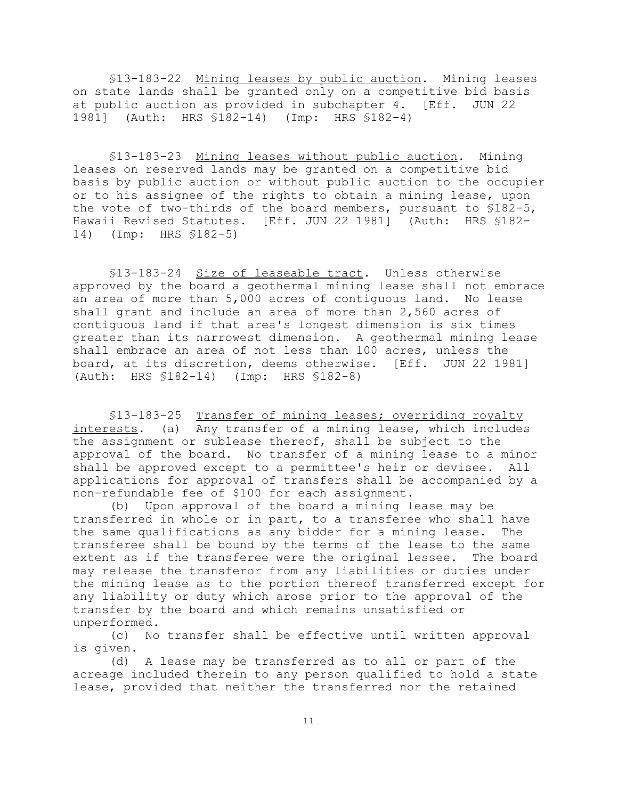§13-183-22 Mining leases by public auction. Mining leases on state lands shall be granted only on a competitive bid basis at public auction as provided in subchapter 4. [Eff. JUN 22 1981] (Auth: HRS §182-14) (Imp: HRS §182-4)

§13-183-23 Mining leases without public auction. Mining leases on reserved lands may be granted on a competitive bid basis by public auction or without public auction to the occupier or to his assignee of the rights to obtain a mining lease, upon the vote of two-thirds of the board members, pursuant to §182-5, Hawaii Revised Statutes. [Eff. JUN 22 1981] (Auth: HRS §182- 14) (Imp: HRS §182-5)

§13-183-24 Size of leaseable tract. Unless otherwise approved by the board a geothermal mining lease shall not embrace an area of more than 5,000 acres of contiguous land. No lease shall grant and include an area of more than 2,560 acres of contiguous land if that area's longest dimension is six times greater than its narrowest dimension. A geothermal mining lease shall embrace an area of not less than 100 acres, unless the board, at its discretion, deems otherwise. [Eff. JUN 22 1981] (Auth: HRS §182-14) (Imp: HRS §182-8)

§13-183-25 Transfer of mining leases; overriding royalty interests. (a) Any transfer of a mining lease, which includes the assignment or sublease thereof, shall be subject to the approval of the board. No transfer of a mining lease to a minor shall be approved except to a permittee's heir or devisee. All applications for approval of transfers shall be accompanied by a non-refundable fee of \$100 for each assignment.

(b) Upon approval of the board a mining lease may be transferred in whole or in part, to a transferee who shall have the same qualifications as any bidder for a mining lease. The transferee shall be bound by the terms of the lease to the same extent as if the transferee were the original lessee. The board may release the transferor from any liabilities or duties under the mining lease as to the portion thereof transferred except for any liability or duty which arose prior to the approval of the transfer by the board and which remains unsatisfied or unperformed.

(c) No transfer shall be effective until written approval is given.

(d) A lease may be transferred as to all or part of the acreage included therein to any person qualified to hold a state lease, provided that neither the transferred nor the retained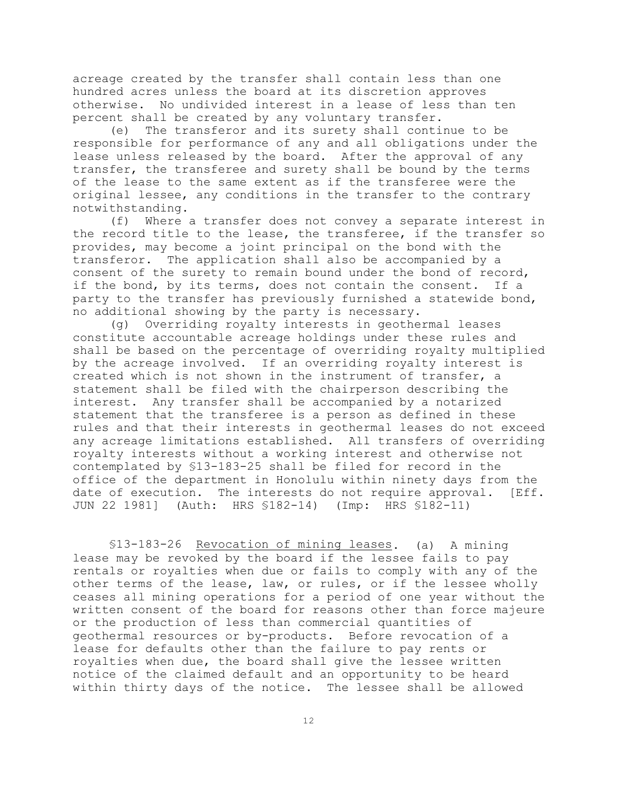acreage created by the transfer shall contain less than one hundred acres unless the board at its discretion approves otherwise. No undivided interest in a lease of less than ten percent shall be created by any voluntary transfer.

(e) The transferor and its surety shall continue to be responsible for performance of any and all obligations under the lease unless released by the board. After the approval of any transfer, the transferee and surety shall be bound by the terms of the lease to the same extent as if the transferee were the original lessee, any conditions in the transfer to the contrary notwithstanding.

(f) Where a transfer does not convey a separate interest in the record title to the lease, the transferee, if the transfer so provides, may become a joint principal on the bond with the transferor. The application shall also be accompanied by a consent of the surety to remain bound under the bond of record, if the bond, by its terms, does not contain the consent. If a party to the transfer has previously furnished a statewide bond, no additional showing by the party is necessary.

(g) Overriding royalty interests in geothermal leases constitute accountable acreage holdings under these rules and shall be based on the percentage of overriding royalty multiplied by the acreage involved. If an overriding royalty interest is created which is not shown in the instrument of transfer, a statement shall be filed with the chairperson describing the interest. Any transfer shall be accompanied by a notarized statement that the transferee is a person as defined in these rules and that their interests in geothermal leases do not exceed any acreage limitations established. All transfers of overriding royalty interests without a working interest and otherwise not contemplated by §13-183-25 shall be filed for record in the office of the department in Honolulu within ninety days from the date of execution. The interests do not require approval. [Eff. JUN 22 1981] (Auth: HRS §182-14) (Imp: HRS §182-11)

§13-183-26 Revocation of mining leases. (a) A mining lease may be revoked by the board if the lessee fails to pay rentals or royalties when due or fails to comply with any of the other terms of the lease, law, or rules, or if the lessee wholly ceases all mining operations for a period of one year without the written consent of the board for reasons other than force majeure or the production of less than commercial quantities of geothermal resources or by-products. Before revocation of a lease for defaults other than the failure to pay rents or royalties when due, the board shall give the lessee written notice of the claimed default and an opportunity to be heard within thirty days of the notice. The lessee shall be allowed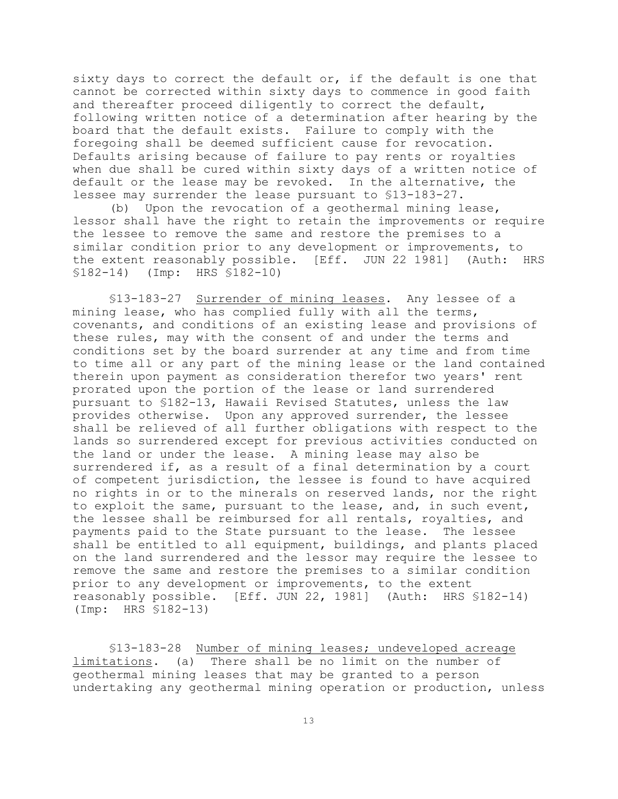sixty days to correct the default or, if the default is one that cannot be corrected within sixty days to commence in good faith and thereafter proceed diligently to correct the default, following written notice of a determination after hearing by the board that the default exists. Failure to comply with the foregoing shall be deemed sufficient cause for revocation. Defaults arising because of failure to pay rents or royalties when due shall be cured within sixty days of a written notice of default or the lease may be revoked. In the alternative, the lessee may surrender the lease pursuant to §13-183-27.

(b) Upon the revocation of a geothermal mining lease, lessor shall have the right to retain the improvements or require the lessee to remove the same and restore the premises to a similar condition prior to any development or improvements, to the extent reasonably possible. [Eff. JUN 22 1981] (Auth: HRS §182-14) (Imp: HRS §182-10)

§13-183-27 Surrender of mining leases. Any lessee of a mining lease, who has complied fully with all the terms, covenants, and conditions of an existing lease and provisions of these rules, may with the consent of and under the terms and conditions set by the board surrender at any time and from time to time all or any part of the mining lease or the land contained therein upon payment as consideration therefor two years' rent prorated upon the portion of the lease or land surrendered pursuant to §182-13, Hawaii Revised Statutes, unless the law provides otherwise. Upon any approved surrender, the lessee shall be relieved of all further obligations with respect to the lands so surrendered except for previous activities conducted on the land or under the lease. A mining lease may also be surrendered if, as a result of a final determination by a court of competent jurisdiction, the lessee is found to have acquired no rights in or to the minerals on reserved lands, nor the right to exploit the same, pursuant to the lease, and, in such event, the lessee shall be reimbursed for all rentals, royalties, and payments paid to the State pursuant to the lease. The lessee shall be entitled to all equipment, buildings, and plants placed on the land surrendered and the lessor may require the lessee to remove the same and restore the premises to a similar condition prior to any development or improvements, to the extent reasonably possible. [Eff. JUN 22, 1981] (Auth: HRS §182-14) (Imp: HRS §182-13)

§13-183-28 Number of mining leases; undeveloped acreage limitations. (a) There shall be no limit on the number of geothermal mining leases that may be granted to a person undertaking any geothermal mining operation or production, unless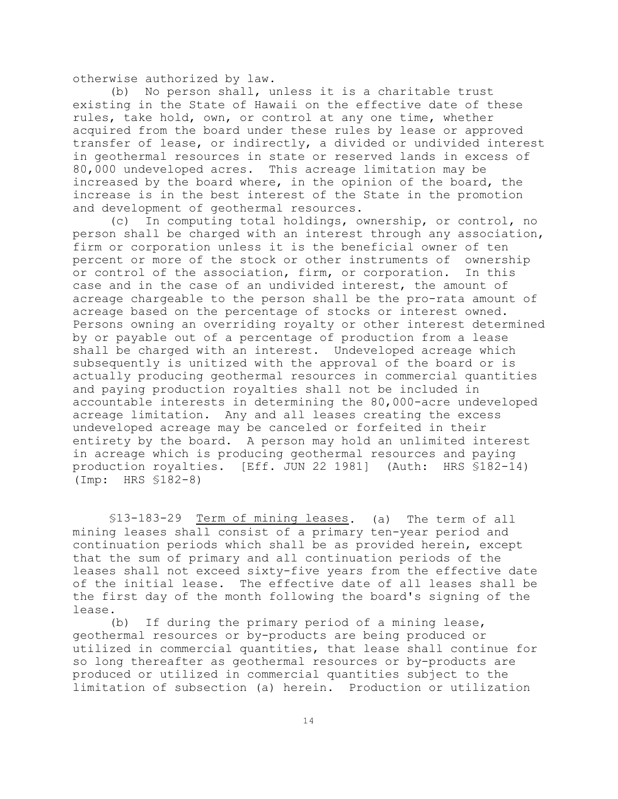otherwise authorized by law.

(b) No person shall, unless it is a charitable trust existing in the State of Hawaii on the effective date of these rules, take hold, own, or control at any one time, whether acquired from the board under these rules by lease or approved transfer of lease, or indirectly, a divided or undivided interest in geothermal resources in state or reserved lands in excess of 80,000 undeveloped acres. This acreage limitation may be increased by the board where, in the opinion of the board, the increase is in the best interest of the State in the promotion and development of geothermal resources.

(c) In computing total holdings, ownership, or control, no person shall be charged with an interest through any association, firm or corporation unless it is the beneficial owner of ten percent or more of the stock or other instruments of ownership or control of the association, firm, or corporation. In this case and in the case of an undivided interest, the amount of acreage chargeable to the person shall be the pro-rata amount of acreage based on the percentage of stocks or interest owned. Persons owning an overriding royalty or other interest determined by or payable out of a percentage of production from a lease shall be charged with an interest. Undeveloped acreage which subsequently is unitized with the approval of the board or is actually producing geothermal resources in commercial quantities and paying production royalties shall not be included in accountable interests in determining the 80,000-acre undeveloped acreage limitation. Any and all leases creating the excess undeveloped acreage may be canceled or forfeited in their entirety by the board. A person may hold an unlimited interest in acreage which is producing geothermal resources and paying production royalties. [Eff. JUN 22 1981] (Auth: HRS §182-14) (Imp: HRS §182-8)

§13-183-29 Term of mining leases. (a) The term of all mining leases shall consist of a primary ten-year period and continuation periods which shall be as provided herein, except that the sum of primary and all continuation periods of the leases shall not exceed sixty-five years from the effective date of the initial lease. The effective date of all leases shall be the first day of the month following the board's signing of the lease.

(b) If during the primary period of a mining lease, geothermal resources or by-products are being produced or utilized in commercial quantities, that lease shall continue for so long thereafter as geothermal resources or by-products are produced or utilized in commercial quantities subject to the limitation of subsection (a) herein. Production or utilization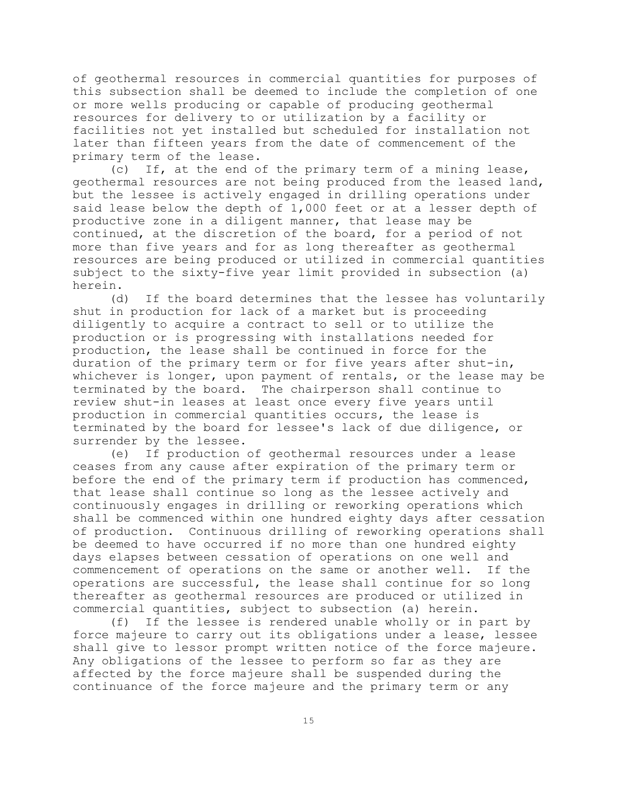of geothermal resources in commercial quantities for purposes of this subsection shall be deemed to include the completion of one or more wells producing or capable of producing geothermal resources for delivery to or utilization by a facility or facilities not yet installed but scheduled for installation not later than fifteen years from the date of commencement of the primary term of the lease.

(c) If, at the end of the primary term of a mining lease, geothermal resources are not being produced from the leased land, but the lessee is actively engaged in drilling operations under said lease below the depth of 1,000 feet or at a lesser depth of productive zone in a diligent manner, that lease may be continued, at the discretion of the board, for a period of not more than five years and for as long thereafter as geothermal resources are being produced or utilized in commercial quantities subject to the sixty-five year limit provided in subsection (a) herein.

(d) If the board determines that the lessee has voluntarily shut in production for lack of a market but is proceeding diligently to acquire a contract to sell or to utilize the production or is progressing with installations needed for production, the lease shall be continued in force for the duration of the primary term or for five years after shut-in, whichever is longer, upon payment of rentals, or the lease may be terminated by the board. The chairperson shall continue to review shut-in leases at least once every five years until production in commercial quantities occurs, the lease is terminated by the board for lessee's lack of due diligence, or surrender by the lessee.

(e) If production of geothermal resources under a lease ceases from any cause after expiration of the primary term or before the end of the primary term if production has commenced, that lease shall continue so long as the lessee actively and continuously engages in drilling or reworking operations which shall be commenced within one hundred eighty days after cessation of production. Continuous drilling of reworking operations shall be deemed to have occurred if no more than one hundred eighty days elapses between cessation of operations on one well and commencement of operations on the same or another well. If the operations are successful, the lease shall continue for so long thereafter as geothermal resources are produced or utilized in commercial quantities, subject to subsection (a) herein.

(f) If the lessee is rendered unable wholly or in part by force majeure to carry out its obligations under a lease, lessee shall give to lessor prompt written notice of the force majeure. Any obligations of the lessee to perform so far as they are affected by the force majeure shall be suspended during the continuance of the force majeure and the primary term or any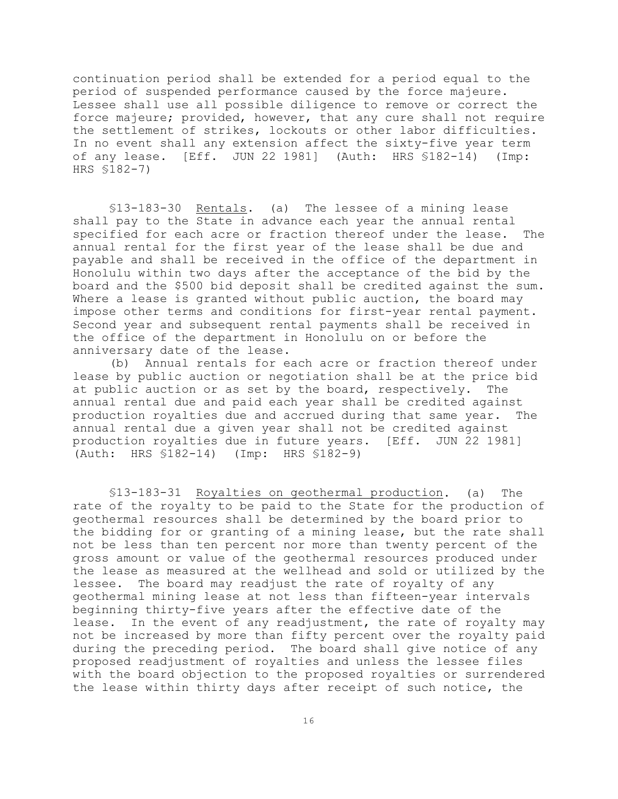continuation period shall be extended for a period equal to the period of suspended performance caused by the force majeure. Lessee shall use all possible diligence to remove or correct the force majeure; provided, however, that any cure shall not require the settlement of strikes, lockouts or other labor difficulties. In no event shall any extension affect the sixty-five year term of any lease. [Eff. JUN 22 1981] (Auth: HRS §182-14) (Imp: HRS §182-7)

§13-183-30 Rentals. (a) The lessee of a mining lease shall pay to the State in advance each year the annual rental specified for each acre or fraction thereof under the lease. The annual rental for the first year of the lease shall be due and payable and shall be received in the office of the department in Honolulu within two days after the acceptance of the bid by the board and the \$500 bid deposit shall be credited against the sum. Where a lease is granted without public auction, the board may impose other terms and conditions for first-year rental payment. Second year and subsequent rental payments shall be received in the office of the department in Honolulu on or before the anniversary date of the lease.

(b) Annual rentals for each acre or fraction thereof under lease by public auction or negotiation shall be at the price bid at public auction or as set by the board, respectively. The annual rental due and paid each year shall be credited against production royalties due and accrued during that same year. The annual rental due a given year shall not be credited against production royalties due in future years. [Eff. JUN 22 1981] (Auth: HRS §182-14) (Imp: HRS §182-9)

§13-183-31 Royalties on geothermal production. (a) The rate of the royalty to be paid to the State for the production of geothermal resources shall be determined by the board prior to the bidding for or granting of a mining lease, but the rate shall not be less than ten percent nor more than twenty percent of the gross amount or value of the geothermal resources produced under the lease as measured at the wellhead and sold or utilized by the lessee. The board may readjust the rate of royalty of any geothermal mining lease at not less than fifteen-year intervals beginning thirty-five years after the effective date of the lease. In the event of any readjustment, the rate of royalty may not be increased by more than fifty percent over the royalty paid during the preceding period. The board shall give notice of any proposed readjustment of royalties and unless the lessee files with the board objection to the proposed royalties or surrendered the lease within thirty days after receipt of such notice, the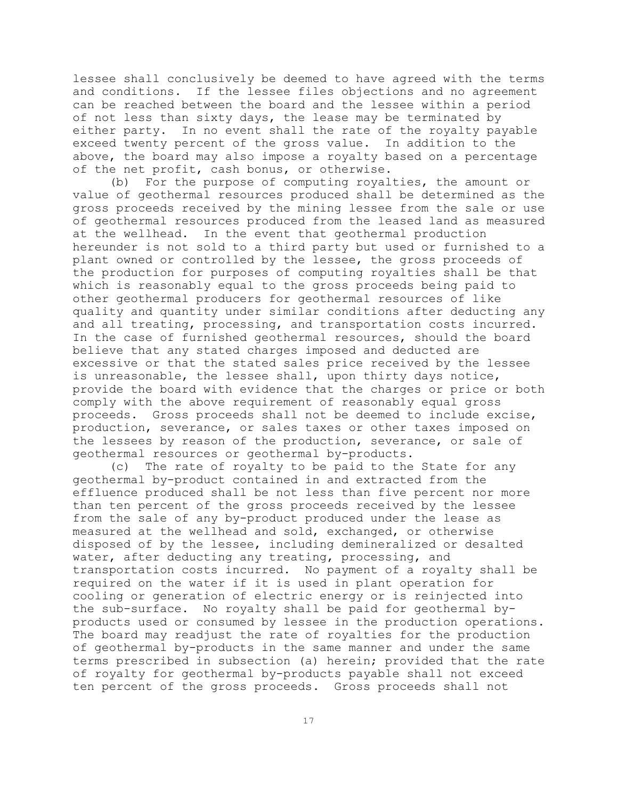lessee shall conclusively be deemed to have agreed with the terms and conditions. If the lessee files objections and no agreement can be reached between the board and the lessee within a period of not less than sixty days, the lease may be terminated by either party. In no event shall the rate of the royalty payable exceed twenty percent of the gross value. In addition to the above, the board may also impose a royalty based on a percentage of the net profit, cash bonus, or otherwise.

(b) For the purpose of computing royalties, the amount or value of geothermal resources produced shall be determined as the gross proceeds received by the mining lessee from the sale or use of geothermal resources produced from the leased land as measured at the wellhead. In the event that geothermal production hereunder is not sold to a third party but used or furnished to a plant owned or controlled by the lessee, the gross proceeds of the production for purposes of computing royalties shall be that which is reasonably equal to the gross proceeds being paid to other geothermal producers for geothermal resources of like quality and quantity under similar conditions after deducting any and all treating, processing, and transportation costs incurred. In the case of furnished geothermal resources, should the board believe that any stated charges imposed and deducted are excessive or that the stated sales price received by the lessee is unreasonable, the lessee shall, upon thirty days notice, provide the board with evidence that the charges or price or both comply with the above requirement of reasonably equal gross proceeds. Gross proceeds shall not be deemed to include excise, production, severance, or sales taxes or other taxes imposed on the lessees by reason of the production, severance, or sale of geothermal resources or geothermal by-products.

(c) The rate of royalty to be paid to the State for any geothermal by-product contained in and extracted from the effluence produced shall be not less than five percent nor more than ten percent of the gross proceeds received by the lessee from the sale of any by-product produced under the lease as measured at the wellhead and sold, exchanged, or otherwise disposed of by the lessee, including demineralized or desalted water, after deducting any treating, processing, and transportation costs incurred. No payment of a royalty shall be required on the water if it is used in plant operation for cooling or generation of electric energy or is reinjected into the sub-surface. No royalty shall be paid for geothermal byproducts used or consumed by lessee in the production operations. The board may readjust the rate of royalties for the production of geothermal by-products in the same manner and under the same terms prescribed in subsection (a) herein; provided that the rate of royalty for geothermal by-products payable shall not exceed ten percent of the gross proceeds. Gross proceeds shall not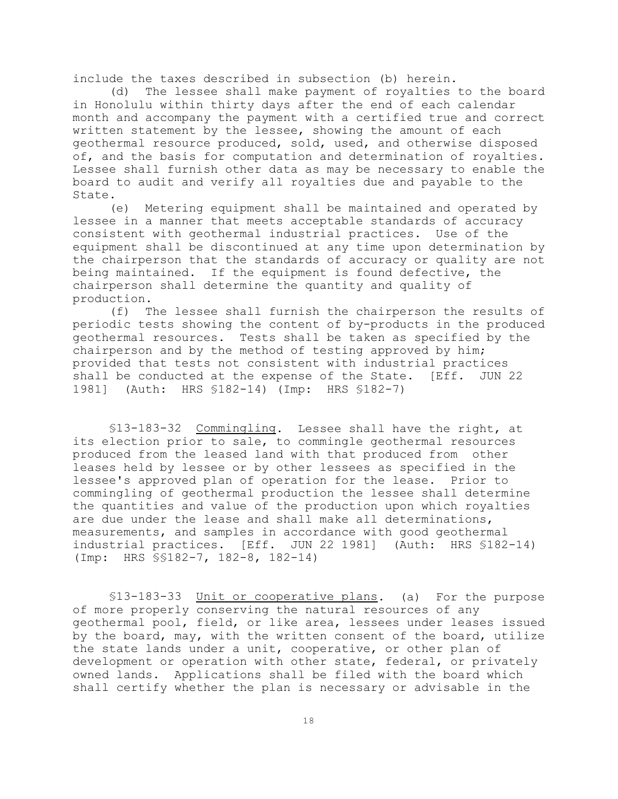include the taxes described in subsection (b) herein.

(d) The lessee shall make payment of royalties to the board in Honolulu within thirty days after the end of each calendar month and accompany the payment with a certified true and correct written statement by the lessee, showing the amount of each geothermal resource produced, sold, used, and otherwise disposed of, and the basis for computation and determination of royalties. Lessee shall furnish other data as may be necessary to enable the board to audit and verify all royalties due and payable to the State.

(e) Metering equipment shall be maintained and operated by lessee in a manner that meets acceptable standards of accuracy consistent with geothermal industrial practices. Use of the equipment shall be discontinued at any time upon determination by the chairperson that the standards of accuracy or quality are not being maintained. If the equipment is found defective, the chairperson shall determine the quantity and quality of production.

(f) The lessee shall furnish the chairperson the results of periodic tests showing the content of by-products in the produced geothermal resources. Tests shall be taken as specified by the chairperson and by the method of testing approved by him; provided that tests not consistent with industrial practices shall be conducted at the expense of the State. [Eff. JUN 22 1981] (Auth: HRS §182-14) (Imp: HRS §182-7)

§13-183-32 Commingling. Lessee shall have the right, at its election prior to sale, to commingle geothermal resources produced from the leased land with that produced from other leases held by lessee or by other lessees as specified in the lessee's approved plan of operation for the lease. Prior to commingling of geothermal production the lessee shall determine the quantities and value of the production upon which royalties are due under the lease and shall make all determinations, measurements, and samples in accordance with good geothermal industrial practices. [Eff. JUN 22 1981] (Auth: HRS §182-14) (Imp: HRS §§182-7, 182-8, 182-14)

§13-183-33 Unit or cooperative plans. (a) For the purpose of more properly conserving the natural resources of any geothermal pool, field, or like area, lessees under leases issued by the board, may, with the written consent of the board, utilize the state lands under a unit, cooperative, or other plan of development or operation with other state, federal, or privately owned lands. Applications shall be filed with the board which shall certify whether the plan is necessary or advisable in the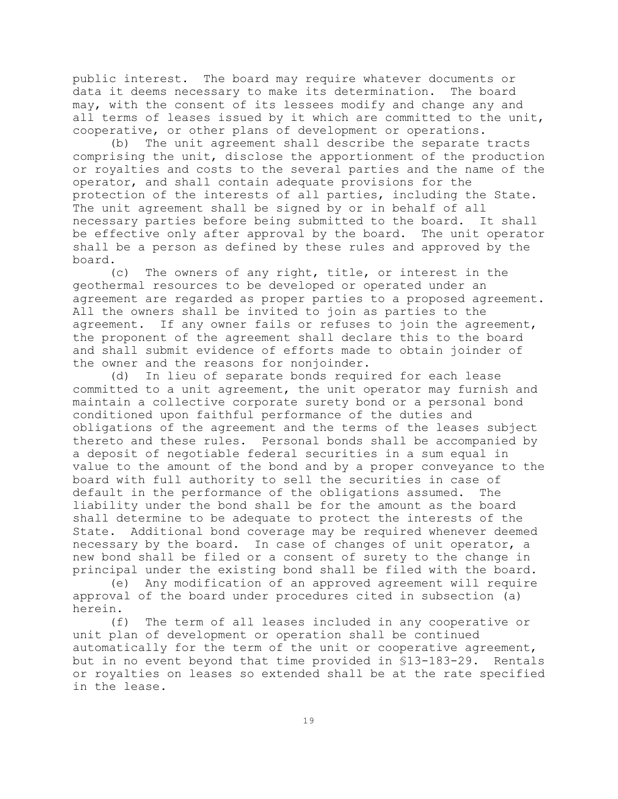public interest. The board may require whatever documents or data it deems necessary to make its determination. The board may, with the consent of its lessees modify and change any and all terms of leases issued by it which are committed to the unit, cooperative, or other plans of development or operations.

(b) The unit agreement shall describe the separate tracts comprising the unit, disclose the apportionment of the production or royalties and costs to the several parties and the name of the operator, and shall contain adequate provisions for the protection of the interests of all parties, including the State. The unit agreement shall be signed by or in behalf of all necessary parties before being submitted to the board. It shall be effective only after approval by the board. The unit operator shall be a person as defined by these rules and approved by the board.

(c) The owners of any right, title, or interest in the geothermal resources to be developed or operated under an agreement are regarded as proper parties to a proposed agreement. All the owners shall be invited to join as parties to the agreement. If any owner fails or refuses to join the agreement, the proponent of the agreement shall declare this to the board and shall submit evidence of efforts made to obtain joinder of the owner and the reasons for nonjoinder.

(d) In lieu of separate bonds required for each lease committed to a unit agreement, the unit operator may furnish and maintain a collective corporate surety bond or a personal bond conditioned upon faithful performance of the duties and obligations of the agreement and the terms of the leases subject thereto and these rules. Personal bonds shall be accompanied by a deposit of negotiable federal securities in a sum equal in value to the amount of the bond and by a proper conveyance to the board with full authority to sell the securities in case of default in the performance of the obligations assumed. The liability under the bond shall be for the amount as the board shall determine to be adequate to protect the interests of the State. Additional bond coverage may be required whenever deemed necessary by the board. In case of changes of unit operator, a new bond shall be filed or a consent of surety to the change in principal under the existing bond shall be filed with the board.

(e) Any modification of an approved agreement will require approval of the board under procedures cited in subsection (a) herein.

(f) The term of all leases included in any cooperative or unit plan of development or operation shall be continued automatically for the term of the unit or cooperative agreement, but in no event beyond that time provided in §13-183-29. Rentals or royalties on leases so extended shall be at the rate specified in the lease.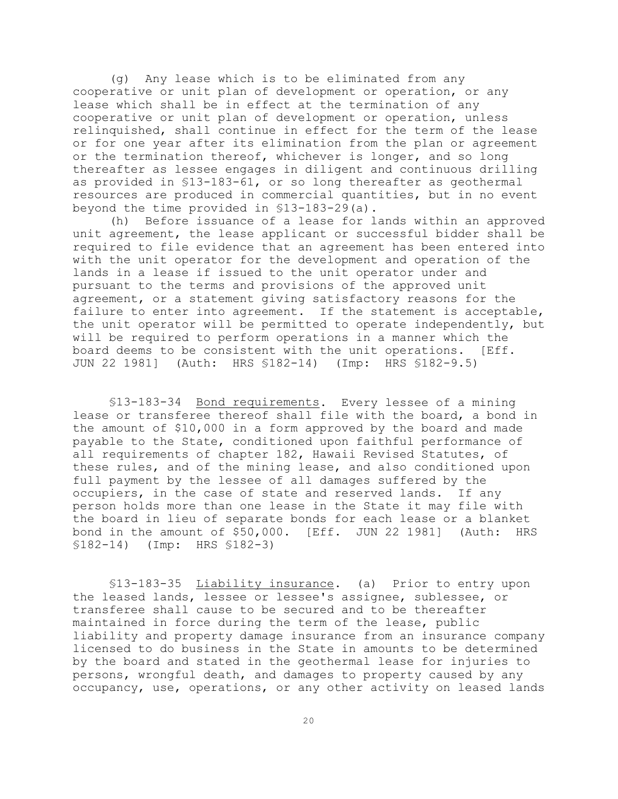(g) Any lease which is to be eliminated from any cooperative or unit plan of development or operation, or any lease which shall be in effect at the termination of any cooperative or unit plan of development or operation, unless relinquished, shall continue in effect for the term of the lease or for one year after its elimination from the plan or agreement or the termination thereof, whichever is longer, and so long thereafter as lessee engages in diligent and continuous drilling as provided in §13-183-61, or so long thereafter as geothermal resources are produced in commercial quantities, but in no event beyond the time provided in §13-183-29(a).

(h) Before issuance of a lease for lands within an approved unit agreement, the lease applicant or successful bidder shall be required to file evidence that an agreement has been entered into with the unit operator for the development and operation of the lands in a lease if issued to the unit operator under and pursuant to the terms and provisions of the approved unit agreement, or a statement giving satisfactory reasons for the failure to enter into agreement. If the statement is acceptable, the unit operator will be permitted to operate independently, but will be required to perform operations in a manner which the board deems to be consistent with the unit operations. [Eff. JUN 22 1981] (Auth: HRS §182-14) (Imp: HRS §182-9.5)

§13-183-34 Bond requirements. Every lessee of a mining lease or transferee thereof shall file with the board, a bond in the amount of \$10,000 in a form approved by the board and made payable to the State, conditioned upon faithful performance of all requirements of chapter 182, Hawaii Revised Statutes, of these rules, and of the mining lease, and also conditioned upon full payment by the lessee of all damages suffered by the occupiers, in the case of state and reserved lands. If any person holds more than one lease in the State it may file with the board in lieu of separate bonds for each lease or a blanket bond in the amount of \$50,000. [Eff. JUN 22 1981] (Auth: HRS §182-14) (Imp: HRS §182-3)

§13-183-35 Liability insurance. (a) Prior to entry upon the leased lands, lessee or lessee's assignee, sublessee, or transferee shall cause to be secured and to be thereafter maintained in force during the term of the lease, public liability and property damage insurance from an insurance company licensed to do business in the State in amounts to be determined by the board and stated in the geothermal lease for injuries to persons, wrongful death, and damages to property caused by any occupancy, use, operations, or any other activity on leased lands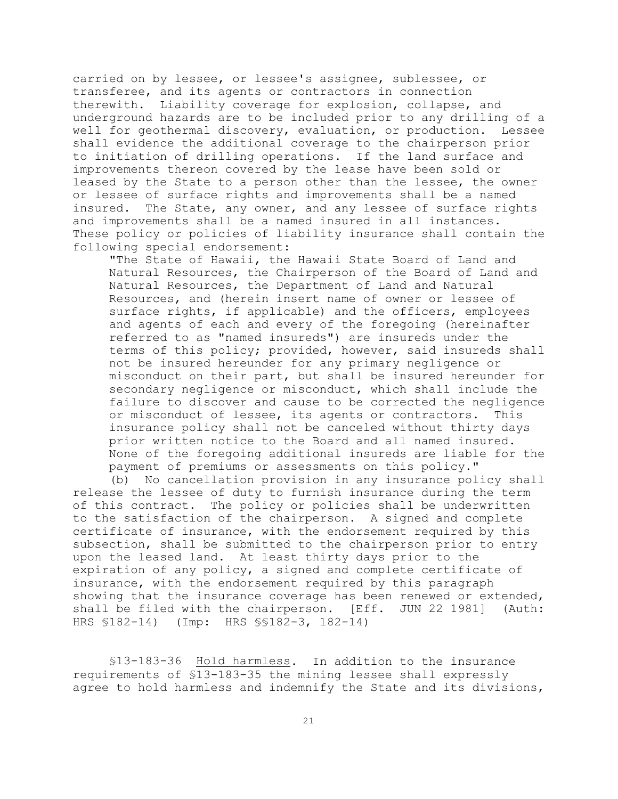carried on by lessee, or lessee's assignee, sublessee, or transferee, and its agents or contractors in connection therewith. Liability coverage for explosion, collapse, and underground hazards are to be included prior to any drilling of a well for geothermal discovery, evaluation, or production. Lessee shall evidence the additional coverage to the chairperson prior to initiation of drilling operations. If the land surface and improvements thereon covered by the lease have been sold or leased by the State to a person other than the lessee, the owner or lessee of surface rights and improvements shall be a named insured. The State, any owner, and any lessee of surface rights and improvements shall be a named insured in all instances. These policy or policies of liability insurance shall contain the following special endorsement:

"The State of Hawaii, the Hawaii State Board of Land and Natural Resources, the Chairperson of the Board of Land and Natural Resources, the Department of Land and Natural Resources, and (herein insert name of owner or lessee of surface rights, if applicable) and the officers, employees and agents of each and every of the foregoing (hereinafter referred to as "named insureds") are insureds under the terms of this policy; provided, however, said insureds shall not be insured hereunder for any primary negligence or misconduct on their part, but shall be insured hereunder for secondary negligence or misconduct, which shall include the failure to discover and cause to be corrected the negligence or misconduct of lessee, its agents or contractors. This insurance policy shall not be canceled without thirty days prior written notice to the Board and all named insured. None of the foregoing additional insureds are liable for the payment of premiums or assessments on this policy."

(b) No cancellation provision in any insurance policy shall release the lessee of duty to furnish insurance during the term of this contract. The policy or policies shall be underwritten to the satisfaction of the chairperson. A signed and complete certificate of insurance, with the endorsement required by this subsection, shall be submitted to the chairperson prior to entry upon the leased land. At least thirty days prior to the expiration of any policy, a signed and complete certificate of insurance, with the endorsement required by this paragraph showing that the insurance coverage has been renewed or extended, shall be filed with the chairperson. [Eff. JUN 22 1981] (Auth: HRS §182-14) (Imp: HRS §§182-3, 182-14)

§13-183-36 Hold harmless. In addition to the insurance requirements of §13-183-35 the mining lessee shall expressly agree to hold harmless and indemnify the State and its divisions,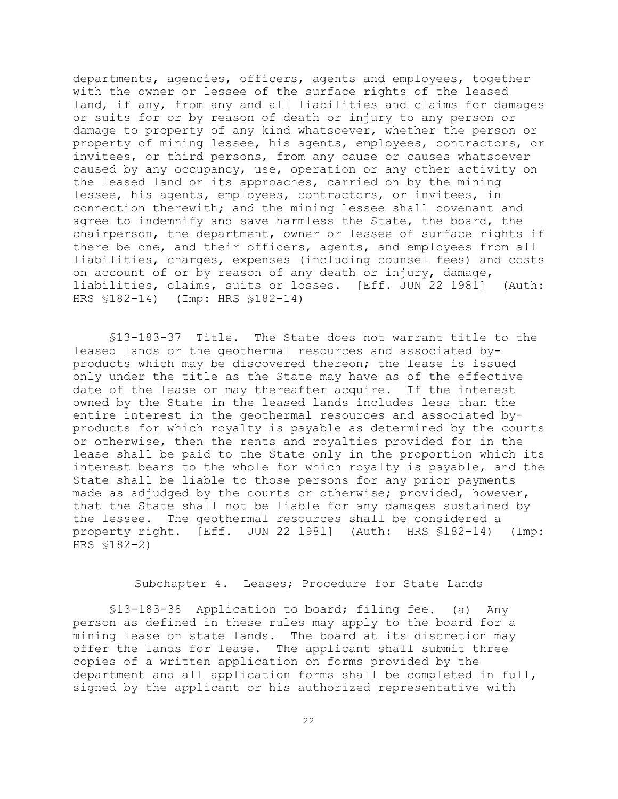departments, agencies, officers, agents and employees, together with the owner or lessee of the surface rights of the leased land, if any, from any and all liabilities and claims for damages or suits for or by reason of death or injury to any person or damage to property of any kind whatsoever, whether the person or property of mining lessee, his agents, employees, contractors, or invitees, or third persons, from any cause or causes whatsoever caused by any occupancy, use, operation or any other activity on the leased land or its approaches, carried on by the mining lessee, his agents, employees, contractors, or invitees, in connection therewith; and the mining lessee shall covenant and agree to indemnify and save harmless the State, the board, the chairperson, the department, owner or lessee of surface rights if there be one, and their officers, agents, and employees from all liabilities, charges, expenses (including counsel fees) and costs on account of or by reason of any death or injury, damage, liabilities, claims, suits or losses. [Eff. JUN 22 1981] (Auth: HRS §182-14) (Imp: HRS §182-14)

§13-183-37 Title. The State does not warrant title to the leased lands or the geothermal resources and associated byproducts which may be discovered thereon; the lease is issued only under the title as the State may have as of the effective date of the lease or may thereafter acquire. If the interest owned by the State in the leased lands includes less than the entire interest in the geothermal resources and associated byproducts for which royalty is payable as determined by the courts or otherwise, then the rents and royalties provided for in the lease shall be paid to the State only in the proportion which its interest bears to the whole for which royalty is payable, and the State shall be liable to those persons for any prior payments made as adjudged by the courts or otherwise; provided, however, that the State shall not be liable for any damages sustained by the lessee. The geothermal resources shall be considered a property right. [Eff. JUN 22 1981] (Auth: HRS §182-14) (Imp: HRS §182-2)

Subchapter 4. Leases; Procedure for State Lands

§13-183-38 Application to board; filing fee. (a) Any person as defined in these rules may apply to the board for a mining lease on state lands. The board at its discretion may offer the lands for lease. The applicant shall submit three copies of a written application on forms provided by the department and all application forms shall be completed in full, signed by the applicant or his authorized representative with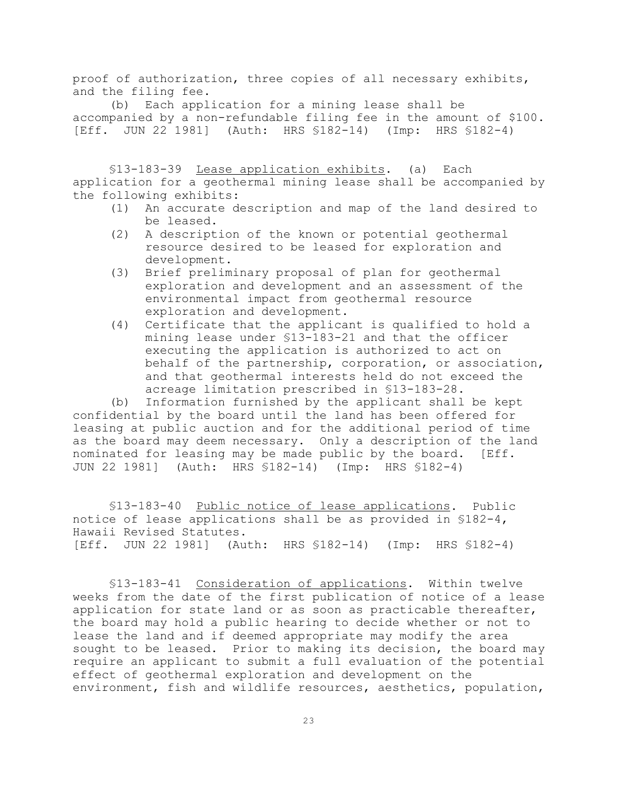proof of authorization, three copies of all necessary exhibits, and the filing fee.

(b) Each application for a mining lease shall be accompanied by a non-refundable filing fee in the amount of \$100. [Eff. JUN 22 1981] (Auth: HRS §182-14) (Imp: HRS §182-4)

§13-183-39 Lease application exhibits. (a) Each application for a geothermal mining lease shall be accompanied by the following exhibits:

- (1) An accurate description and map of the land desired to be leased.
- (2) A description of the known or potential geothermal resource desired to be leased for exploration and development.
- (3) Brief preliminary proposal of plan for geothermal exploration and development and an assessment of the environmental impact from geothermal resource exploration and development.
- (4) Certificate that the applicant is qualified to hold a mining lease under §13-183-21 and that the officer executing the application is authorized to act on behalf of the partnership, corporation, or association, and that geothermal interests held do not exceed the acreage limitation prescribed in §13-183-28.

(b) Information furnished by the applicant shall be kept confidential by the board until the land has been offered for leasing at public auction and for the additional period of time as the board may deem necessary. Only a description of the land nominated for leasing may be made public by the board. [Eff. JUN 22 1981] (Auth: HRS §182-14) (Imp: HRS §182-4)

§13-183-40 Public notice of lease applications. Public notice of lease applications shall be as provided in §182-4, Hawaii Revised Statutes. [Eff. JUN 22 1981] (Auth: HRS §182-14) (Imp: HRS §182-4)

§13-183-41 Consideration of applications. Within twelve weeks from the date of the first publication of notice of a lease application for state land or as soon as practicable thereafter, the board may hold a public hearing to decide whether or not to lease the land and if deemed appropriate may modify the area sought to be leased. Prior to making its decision, the board may require an applicant to submit a full evaluation of the potential effect of geothermal exploration and development on the environment, fish and wildlife resources, aesthetics, population,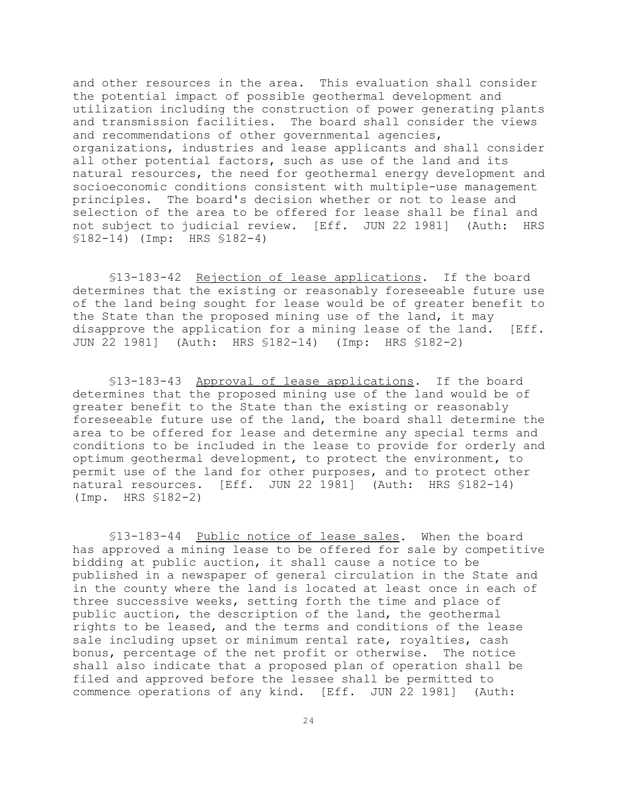and other resources in the area. This evaluation shall consider the potential impact of possible geothermal development and utilization including the construction of power generating plants and transmission facilities. The board shall consider the views and recommendations of other governmental agencies, organizations, industries and lease applicants and shall consider all other potential factors, such as use of the land and its natural resources, the need for geothermal energy development and socioeconomic conditions consistent with multiple-use management principles. The board's decision whether or not to lease and selection of the area to be offered for lease shall be final and not subject to judicial review. [Eff. JUN 22 1981] (Auth: HRS §182-14) (Imp: HRS §182-4)

§13-183-42 Rejection of lease applications. If the board determines that the existing or reasonably foreseeable future use of the land being sought for lease would be of greater benefit to the State than the proposed mining use of the land, it may disapprove the application for a mining lease of the land. [Eff. JUN 22 1981] (Auth: HRS §182-14) (Imp: HRS §182-2)

§13-183-43 Approval of lease applications. If the board determines that the proposed mining use of the land would be of greater benefit to the State than the existing or reasonably foreseeable future use of the land, the board shall determine the area to be offered for lease and determine any special terms and conditions to be included in the lease to provide for orderly and optimum geothermal development, to protect the environment, to permit use of the land for other purposes, and to protect other natural resources. [Eff. JUN 22 1981] (Auth: HRS §182-14) (Imp. HRS §182-2)

§13-183-44 Public notice of lease sales. When the board has approved a mining lease to be offered for sale by competitive bidding at public auction, it shall cause a notice to be published in a newspaper of general circulation in the State and in the county where the land is located at least once in each of three successive weeks, setting forth the time and place of public auction, the description of the land, the geothermal rights to be leased, and the terms and conditions of the lease sale including upset or minimum rental rate, royalties, cash bonus, percentage of the net profit or otherwise. The notice shall also indicate that a proposed plan of operation shall be filed and approved before the lessee shall be permitted to commence operations of any kind. [Eff. JUN 22 1981] (Auth: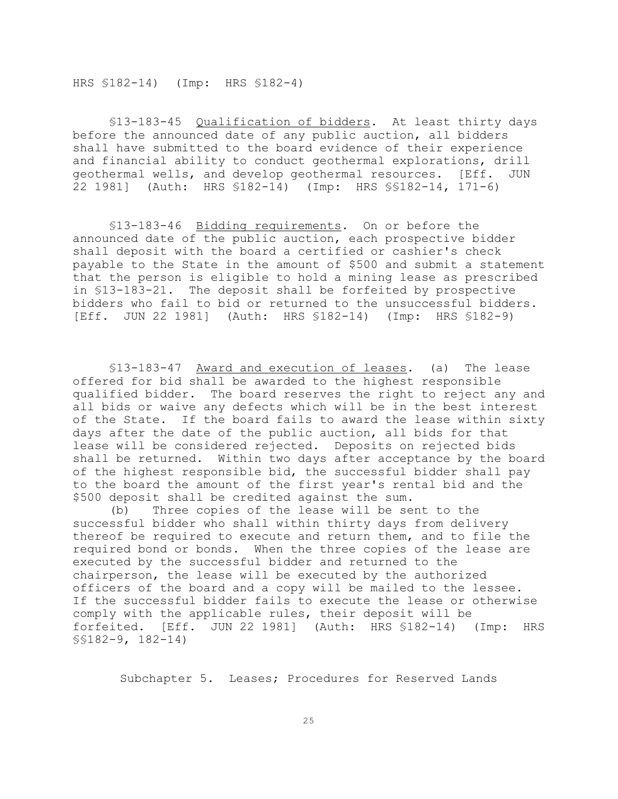HRS §182-14) (Imp: HRS §182-4)

§13-183-45 Qualification of bidders. At least thirty days before the announced date of any public auction, all bidders shall have submitted to the board evidence of their experience and financial ability to conduct geothermal explorations, drill geothermal wells, and develop geothermal resources. [Eff. JUN 22 1981] (Auth: HRS §182-14) (Imp: HRS §§182-14, 171-6)

§13-183-46 Bidding requirements. On or before the announced date of the public auction, each prospective bidder shall deposit with the board a certified or cashier's check payable to the State in the amount of \$500 and submit a statement that the person is eligible to hold a mining lease as prescribed in §13-183-21. The deposit shall be forfeited by prospective bidders who fail to bid or returned to the unsuccessful bidders. [Eff. JUN 22 1981] (Auth: HRS §182-14) (Imp: HRS §182-9)

§13-183-47 Award and execution of leases. (a) The lease offered for bid shall be awarded to the highest responsible qualified bidder. The board reserves the right to reject any and all bids or waive any defects which will be in the best interest of the State. If the board fails to award the lease within sixty days after the date of the public auction, all bids for that lease will be considered rejected. Deposits on rejected bids shall be returned. Within two days after acceptance by the board of the highest responsible bid, the successful bidder shall pay to the board the amount of the first year's rental bid and the \$500 deposit shall be credited against the sum.

(b) Three copies of the lease will be sent to the successful bidder who shall within thirty days from delivery thereof be required to execute and return them, and to file the required bond or bonds. When the three copies of the lease are executed by the successful bidder and returned to the chairperson, the lease will be executed by the authorized officers of the board and a copy will be mailed to the lessee. If the successful bidder fails to execute the lease or otherwise comply with the applicable rules, their deposit will be forfeited. [Eff. JUN 22 1981] (Auth: HRS §182-14) (Imp: HRS §§182-9, 182-14)

Subchapter 5. Leases; Procedures for Reserved Lands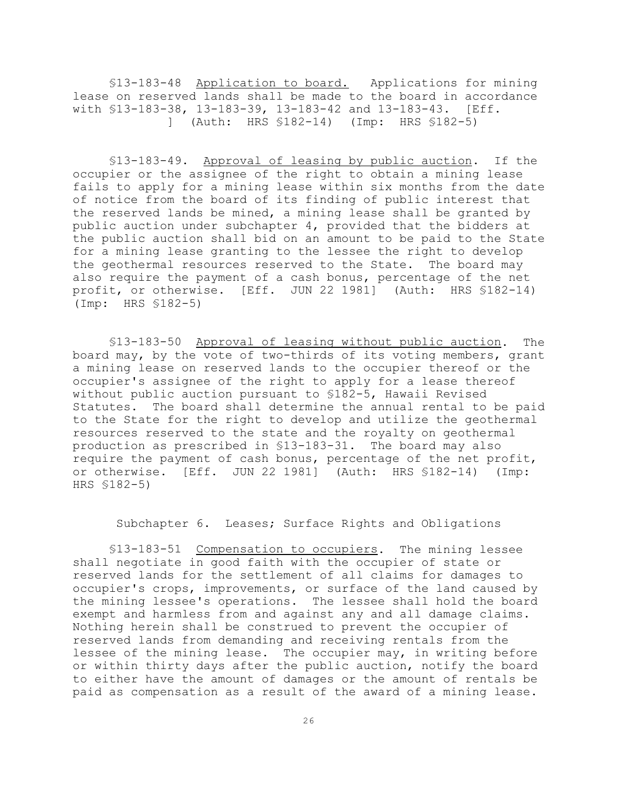§13-183-48 Application to board. Applications for mining lease on reserved lands shall be made to the board in accordance with §13-183-38, 13-183-39, 13-183-42 and 13-183-43. [Eff. ] (Auth: HRS §182-14) (Imp: HRS §182-5)

§13-183-49. Approval of leasing by public auction. If the occupier or the assignee of the right to obtain a mining lease fails to apply for a mining lease within six months from the date of notice from the board of its finding of public interest that the reserved lands be mined, a mining lease shall be granted by public auction under subchapter 4, provided that the bidders at the public auction shall bid on an amount to be paid to the State for a mining lease granting to the lessee the right to develop the geothermal resources reserved to the State. The board may also require the payment of a cash bonus, percentage of the net profit, or otherwise. [Eff. JUN 22 1981] (Auth: HRS §182-14) (Imp: HRS §182-5)

§13-183-50 Approval of leasing without public auction. The board may, by the vote of two-thirds of its voting members, grant a mining lease on reserved lands to the occupier thereof or the occupier's assignee of the right to apply for a lease thereof without public auction pursuant to §182-5, Hawaii Revised Statutes. The board shall determine the annual rental to be paid to the State for the right to develop and utilize the geothermal resources reserved to the state and the royalty on geothermal production as prescribed in §13-183-31. The board may also require the payment of cash bonus, percentage of the net profit, or otherwise. [Eff. JUN 22 1981] (Auth: HRS §182-14) (Imp: HRS §182-5)

Subchapter 6. Leases; Surface Rights and Obligations

§13-183-51 Compensation to occupiers. The mining lessee shall negotiate in good faith with the occupier of state or reserved lands for the settlement of all claims for damages to occupier's crops, improvements, or surface of the land caused by the mining lessee's operations. The lessee shall hold the board exempt and harmless from and against any and all damage claims. Nothing herein shall be construed to prevent the occupier of reserved lands from demanding and receiving rentals from the lessee of the mining lease. The occupier may, in writing before or within thirty days after the public auction, notify the board to either have the amount of damages or the amount of rentals be paid as compensation as a result of the award of a mining lease.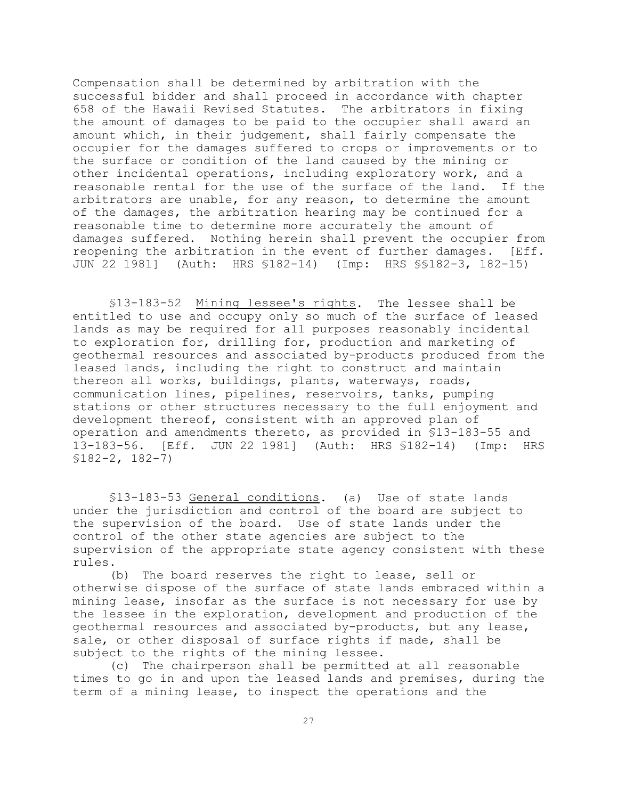Compensation shall be determined by arbitration with the successful bidder and shall proceed in accordance with chapter 658 of the Hawaii Revised Statutes. The arbitrators in fixing the amount of damages to be paid to the occupier shall award an amount which, in their judgement, shall fairly compensate the occupier for the damages suffered to crops or improvements or to the surface or condition of the land caused by the mining or other incidental operations, including exploratory work, and a reasonable rental for the use of the surface of the land. If the arbitrators are unable, for any reason, to determine the amount of the damages, the arbitration hearing may be continued for a reasonable time to determine more accurately the amount of damages suffered. Nothing herein shall prevent the occupier from reopening the arbitration in the event of further damages. [Eff. JUN 22 1981] (Auth: HRS §182-14) (Imp: HRS §§182-3, 182-15)

§13-183-52 Mining lessee's rights. The lessee shall be entitled to use and occupy only so much of the surface of leased lands as may be required for all purposes reasonably incidental to exploration for, drilling for, production and marketing of geothermal resources and associated by-products produced from the leased lands, including the right to construct and maintain thereon all works, buildings, plants, waterways, roads, communication lines, pipelines, reservoirs, tanks, pumping stations or other structures necessary to the full enjoyment and development thereof, consistent with an approved plan of operation and amendments thereto, as provided in §13-183-55 and 13-183-56. [Eff. JUN 22 1981] (Auth: HRS §182-14) (Imp: HRS §182-2, 182-7)

§13-183-53 General conditions. (a) Use of state lands under the jurisdiction and control of the board are subject to the supervision of the board. Use of state lands under the control of the other state agencies are subject to the supervision of the appropriate state agency consistent with these rules.

(b) The board reserves the right to lease, sell or otherwise dispose of the surface of state lands embraced within a mining lease, insofar as the surface is not necessary for use by the lessee in the exploration, development and production of the geothermal resources and associated by-products, but any lease, sale, or other disposal of surface rights if made, shall be subject to the rights of the mining lessee.

(c) The chairperson shall be permitted at all reasonable times to go in and upon the leased lands and premises, during the term of a mining lease, to inspect the operations and the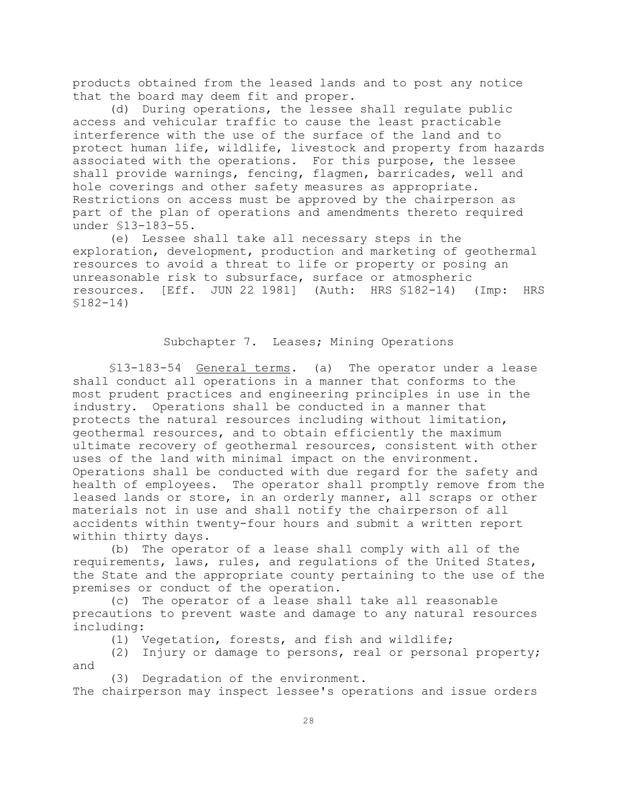products obtained from the leased lands and to post any notice that the board may deem fit and proper.

(d) During operations, the lessee shall regulate public access and vehicular traffic to cause the least practicable interference with the use of the surface of the land and to protect human life, wildlife, livestock and property from hazards associated with the operations. For this purpose, the lessee shall provide warnings, fencing, flagmen, barricades, well and hole coverings and other safety measures as appropriate. Restrictions on access must be approved by the chairperson as part of the plan of operations and amendments thereto required under §13-183-55.

(e) Lessee shall take all necessary steps in the exploration, development, production and marketing of geothermal resources to avoid a threat to life or property or posing an unreasonable risk to subsurface, surface or atmospheric resources. [Eff. JUN 22 1981] (Auth: HRS §182-14) (Imp: HRS §182-14)

#### Subchapter 7. Leases; Mining Operations

§13-183-54 General terms. (a) The operator under a lease shall conduct all operations in a manner that conforms to the most prudent practices and engineering principles in use in the industry. Operations shall be conducted in a manner that protects the natural resources including without limitation, geothermal resources, and to obtain efficiently the maximum ultimate recovery of geothermal resources, consistent with other uses of the land with minimal impact on the environment. Operations shall be conducted with due regard for the safety and health of employees. The operator shall promptly remove from the leased lands or store, in an orderly manner, all scraps or other materials not in use and shall notify the chairperson of all accidents within twenty-four hours and submit a written report within thirty days.

(b) The operator of a lease shall comply with all of the requirements, laws, rules, and regulations of the United States, the State and the appropriate county pertaining to the use of the premises or conduct of the operation.

(c) The operator of a lease shall take all reasonable precautions to prevent waste and damage to any natural resources including:

(1) Vegetation, forests, and fish and wildlife;

(2) Injury or damage to persons, real or personal property; and

(3) Degradation of the environment.

The chairperson may inspect lessee's operations and issue orders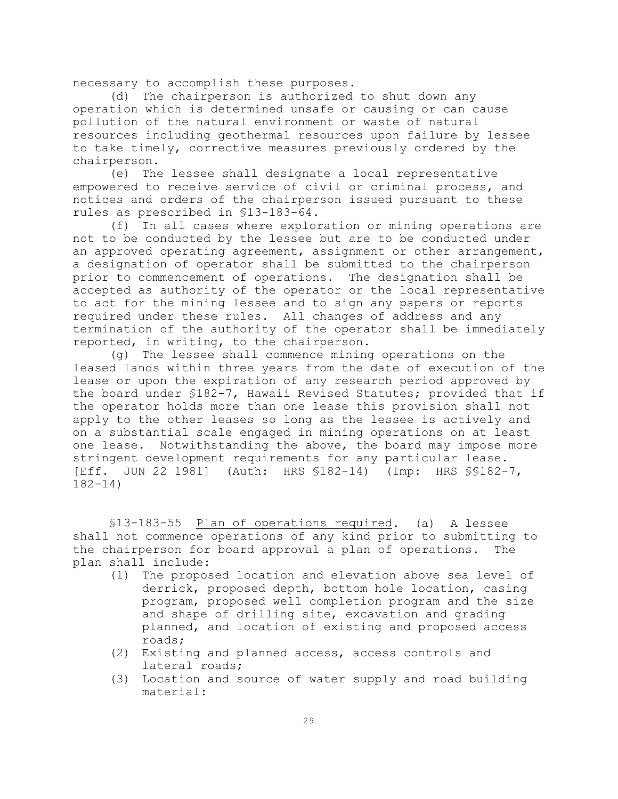necessary to accomplish these purposes.

(d) The chairperson is authorized to shut down any operation which is determined unsafe or causing or can cause pollution of the natural environment or waste of natural resources including geothermal resources upon failure by lessee to take timely, corrective measures previously ordered by the chairperson.

(e) The lessee shall designate a local representative empowered to receive service of civil or criminal process, and notices and orders of the chairperson issued pursuant to these rules as prescribed in §13-183-64.

(f) In all cases where exploration or mining operations are not to be conducted by the lessee but are to be conducted under an approved operating agreement, assignment or other arrangement, a designation of operator shall be submitted to the chairperson prior to commencement of operations. The designation shall be accepted as authority of the operator or the local representative to act for the mining lessee and to sign any papers or reports required under these rules. All changes of address and any termination of the authority of the operator shall be immediately reported, in writing, to the chairperson.

(g) The lessee shall commence mining operations on the leased lands within three years from the date of execution of the lease or upon the expiration of any research period approved by the board under §182-7, Hawaii Revised Statutes; provided that if the operator holds more than one lease this provision shall not apply to the other leases so long as the lessee is actively and on a substantial scale engaged in mining operations on at least one lease. Notwithstanding the above, the board may impose more stringent development requirements for any particular lease. [Eff. JUN 22 1981] (Auth: HRS §182-14) (Imp: HRS §§182-7, 182-14)

§13-183-55 Plan of operations required. (a) A lessee shall not commence operations of any kind prior to submitting to the chairperson for board approval a plan of operations. The plan shall include:

- (1) The proposed location and elevation above sea level of derrick, proposed depth, bottom hole location, casing program, proposed well completion program and the size and shape of drilling site, excavation and grading planned, and location of existing and proposed access roads;
- (2) Existing and planned access, access controls and lateral roads;
- (3) Location and source of water supply and road building material: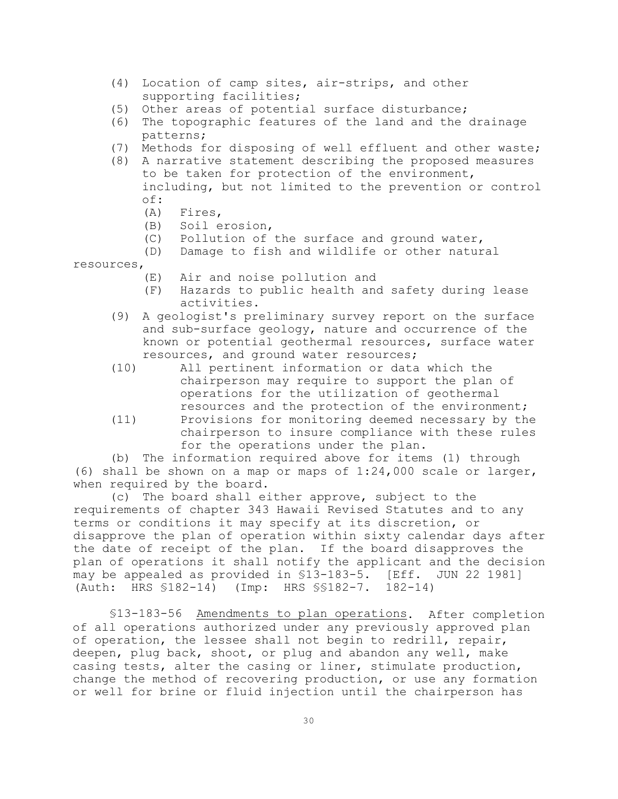- (4) Location of camp sites, air-strips, and other supporting facilities;
- (5) Other areas of potential surface disturbance;
- (6) The topographic features of the land and the drainage patterns;
- (7) Methods for disposing of well effluent and other waste;
- (8) A narrative statement describing the proposed measures to be taken for protection of the environment, including, but not limited to the prevention or control of:
	- (A) Fires,
	- (B) Soil erosion,
	- (C) Pollution of the surface and ground water,
	- (D) Damage to fish and wildlife or other natural

resources,

- (E) Air and noise pollution and
- (F) Hazards to public health and safety during lease activities.
- (9) A geologist's preliminary survey report on the surface and sub-surface geology, nature and occurrence of the known or potential geothermal resources, surface water resources, and ground water resources;
- (10) All pertinent information or data which the chairperson may require to support the plan of operations for the utilization of geothermal resources and the protection of the environment;
- (11) Provisions for monitoring deemed necessary by the chairperson to insure compliance with these rules for the operations under the plan.

(b) The information required above for items (1) through (6) shall be shown on a map or maps of 1:24,000 scale or larger, when required by the board.

(c) The board shall either approve, subject to the requirements of chapter 343 Hawaii Revised Statutes and to any terms or conditions it may specify at its discretion, or disapprove the plan of operation within sixty calendar days after the date of receipt of the plan. If the board disapproves the plan of operations it shall notify the applicant and the decision may be appealed as provided in §13-183-5. [Eff. JUN 22 1981] (Auth: HRS §182-14) (Imp: HRS §§182-7. 182-14)

§13-183-56 Amendments to plan operations. After completion of all operations authorized under any previously approved plan of operation, the lessee shall not begin to redrill, repair, deepen, plug back, shoot, or plug and abandon any well, make casing tests, alter the casing or liner, stimulate production, change the method of recovering production, or use any formation or well for brine or fluid injection until the chairperson has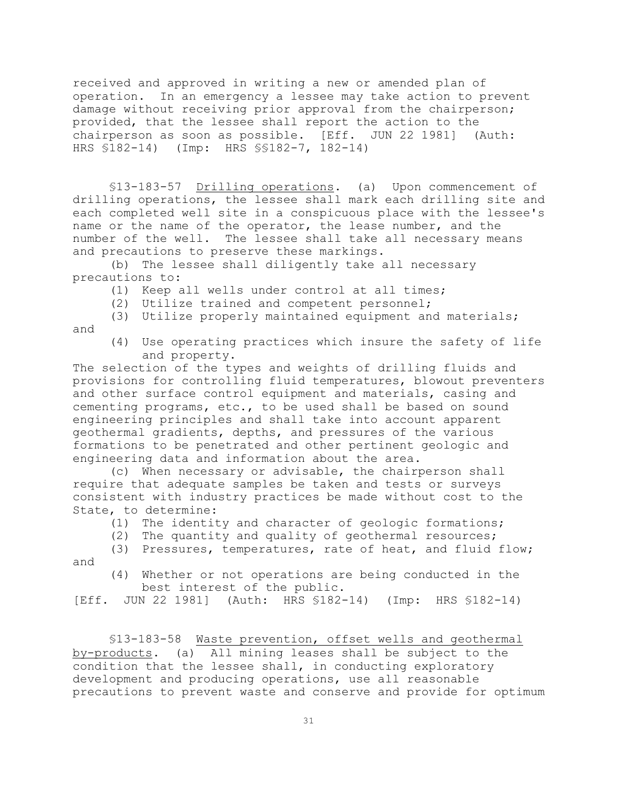received and approved in writing a new or amended plan of operation. In an emergency a lessee may take action to prevent damage without receiving prior approval from the chairperson; provided, that the lessee shall report the action to the chairperson as soon as possible. [Eff. JUN 22 1981] (Auth: HRS §182-14) (Imp: HRS §§182-7, 182-14)

§13-183-57 Drilling operations. (a) Upon commencement of drilling operations, the lessee shall mark each drilling site and each completed well site in a conspicuous place with the lessee's name or the name of the operator, the lease number, and the number of the well. The lessee shall take all necessary means and precautions to preserve these markings.

(b) The lessee shall diligently take all necessary precautions to:

- (1) Keep all wells under control at all times;
- (2) Utilize trained and competent personnel;
- (3) Utilize properly maintained equipment and materials; and
	- (4) Use operating practices which insure the safety of life and property.

The selection of the types and weights of drilling fluids and provisions for controlling fluid temperatures, blowout preventers and other surface control equipment and materials, casing and cementing programs, etc., to be used shall be based on sound engineering principles and shall take into account apparent geothermal gradients, depths, and pressures of the various formations to be penetrated and other pertinent geologic and engineering data and information about the area.

(c) When necessary or advisable, the chairperson shall require that adequate samples be taken and tests or surveys consistent with industry practices be made without cost to the State, to determine:

- (1) The identity and character of geologic formations;
- (2) The quantity and quality of geothermal resources;

(3) Pressures, temperatures, rate of heat, and fluid flow; and

(4) Whether or not operations are being conducted in the best interest of the public.

[Eff. JUN 22 1981] (Auth: HRS §182-14) (Imp: HRS §182-14)

§13-183-58 Waste prevention, offset wells and geothermal by-products. (a) All mining leases shall be subject to the condition that the lessee shall, in conducting exploratory development and producing operations, use all reasonable precautions to prevent waste and conserve and provide for optimum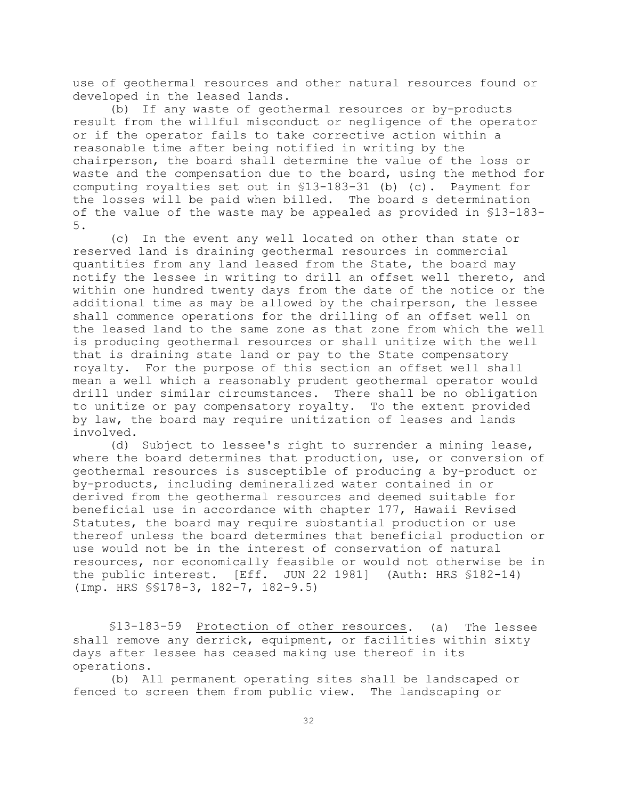use of geothermal resources and other natural resources found or developed in the leased lands.

(b) If any waste of geothermal resources or by-products result from the willful misconduct or negligence of the operator or if the operator fails to take corrective action within a reasonable time after being notified in writing by the chairperson, the board shall determine the value of the loss or waste and the compensation due to the board, using the method for computing royalties set out in §13-183-31 (b) (c). Payment for the losses will be paid when billed. The board s determination of the value of the waste may be appealed as provided in §13-183- 5.

(c) In the event any well located on other than state or reserved land is draining geothermal resources in commercial quantities from any land leased from the State, the board may notify the lessee in writing to drill an offset well thereto, and within one hundred twenty days from the date of the notice or the additional time as may be allowed by the chairperson, the lessee shall commence operations for the drilling of an offset well on the leased land to the same zone as that zone from which the well is producing geothermal resources or shall unitize with the well that is draining state land or pay to the State compensatory royalty. For the purpose of this section an offset well shall mean a well which a reasonably prudent geothermal operator would drill under similar circumstances. There shall be no obligation to unitize or pay compensatory royalty. To the extent provided by law, the board may require unitization of leases and lands involved.

(d) Subject to lessee's right to surrender a mining lease, where the board determines that production, use, or conversion of geothermal resources is susceptible of producing a by-product or by-products, including demineralized water contained in or derived from the geothermal resources and deemed suitable for beneficial use in accordance with chapter 177, Hawaii Revised Statutes, the board may require substantial production or use thereof unless the board determines that beneficial production or use would not be in the interest of conservation of natural resources, nor economically feasible or would not otherwise be in the public interest. [Eff. JUN 22 1981] (Auth: HRS §182-14) (Imp. HRS §§178-3, 182-7, 182-9.5)

§13-183-59 Protection of other resources. (a) The lessee shall remove any derrick, equipment, or facilities within sixty days after lessee has ceased making use thereof in its operations.

(b) All permanent operating sites shall be landscaped or fenced to screen them from public view. The landscaping or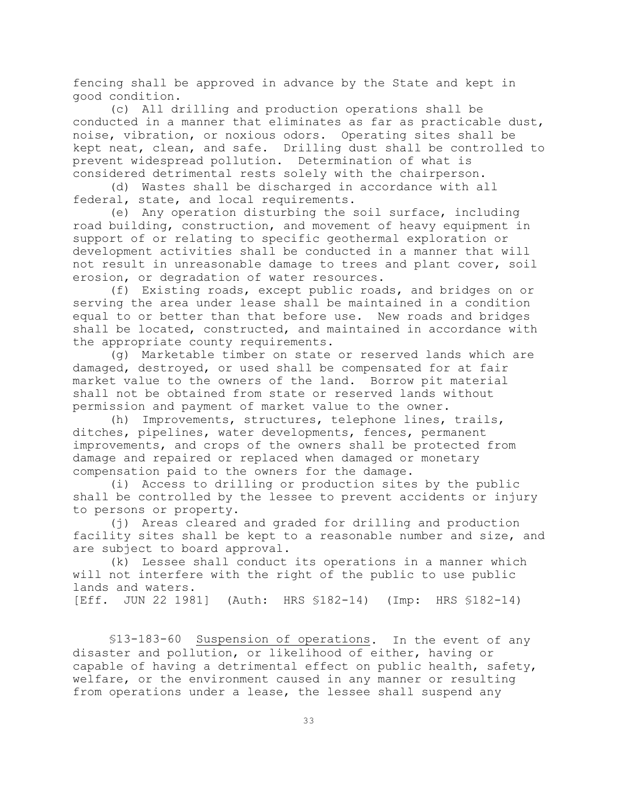fencing shall be approved in advance by the State and kept in good condition.

(c) All drilling and production operations shall be conducted in a manner that eliminates as far as practicable dust, noise, vibration, or noxious odors. Operating sites shall be kept neat, clean, and safe. Drilling dust shall be controlled to prevent widespread pollution. Determination of what is considered detrimental rests solely with the chairperson.

(d) Wastes shall be discharged in accordance with all federal, state, and local requirements.

(e) Any operation disturbing the soil surface, including road building, construction, and movement of heavy equipment in support of or relating to specific geothermal exploration or development activities shall be conducted in a manner that will not result in unreasonable damage to trees and plant cover, soil erosion, or degradation of water resources.

(f) Existing roads, except public roads, and bridges on or serving the area under lease shall be maintained in a condition equal to or better than that before use. New roads and bridges shall be located, constructed, and maintained in accordance with the appropriate county requirements.

(g) Marketable timber on state or reserved lands which are damaged, destroyed, or used shall be compensated for at fair market value to the owners of the land. Borrow pit material shall not be obtained from state or reserved lands without permission and payment of market value to the owner.

(h) Improvements, structures, telephone lines, trails, ditches, pipelines, water developments, fences, permanent improvements, and crops of the owners shall be protected from damage and repaired or replaced when damaged or monetary compensation paid to the owners for the damage.

(i) Access to drilling or production sites by the public shall be controlled by the lessee to prevent accidents or injury to persons or property.

(j) Areas cleared and graded for drilling and production facility sites shall be kept to a reasonable number and size, and are subject to board approval.

(k) Lessee shall conduct its operations in a manner which will not interfere with the right of the public to use public lands and waters.

[Eff. JUN 22 1981] (Auth: HRS §182-14) (Imp: HRS §182-14)

§13-183-60 Suspension of operations. In the event of any disaster and pollution, or likelihood of either, having or capable of having a detrimental effect on public health, safety, welfare, or the environment caused in any manner or resulting from operations under a lease, the lessee shall suspend any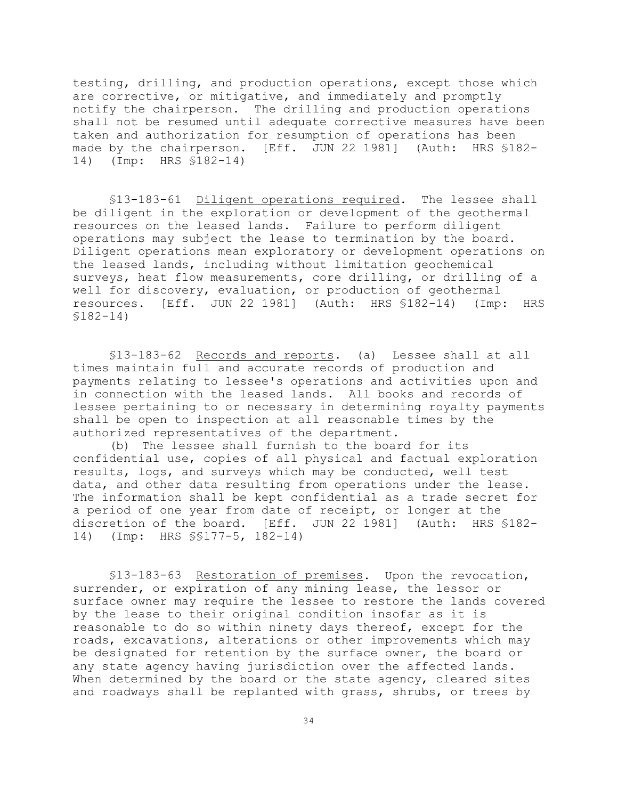testing, drilling, and production operations, except those which are corrective, or mitigative, and immediately and promptly notify the chairperson. The drilling and production operations shall not be resumed until adequate corrective measures have been taken and authorization for resumption of operations has been made by the chairperson. [Eff. JUN 22 1981] (Auth: HRS §182- 14) (Imp: HRS §182-14)

§13-183-61 Diligent operations required. The lessee shall be diligent in the exploration or development of the geothermal resources on the leased lands. Failure to perform diligent operations may subject the lease to termination by the board. Diligent operations mean exploratory or development operations on the leased lands, including without limitation geochemical surveys, heat flow measurements, core drilling, or drilling of a well for discovery, evaluation, or production of geothermal resources. [Eff. JUN 22 1981] (Auth: HRS §182-14) (Imp: HRS §182-14)

§13-183-62 Records and reports. (a) Lessee shall at all times maintain full and accurate records of production and payments relating to lessee's operations and activities upon and in connection with the leased lands. All books and records of lessee pertaining to or necessary in determining royalty payments shall be open to inspection at all reasonable times by the authorized representatives of the department.

(b) The lessee shall furnish to the board for its confidential use, copies of all physical and factual exploration results, logs, and surveys which may be conducted, well test data, and other data resulting from operations under the lease. The information shall be kept confidential as a trade secret for a period of one year from date of receipt, or longer at the discretion of the board. [Eff. JUN 22 1981] (Auth: HRS §182- 14) (Imp: HRS §§177-5, 182-14)

§13-183-63 Restoration of premises. Upon the revocation, surrender, or expiration of any mining lease, the lessor or surface owner may require the lessee to restore the lands covered by the lease to their original condition insofar as it is reasonable to do so within ninety days thereof, except for the roads, excavations, alterations or other improvements which may be designated for retention by the surface owner, the board or any state agency having jurisdiction over the affected lands. When determined by the board or the state agency, cleared sites and roadways shall be replanted with grass, shrubs, or trees by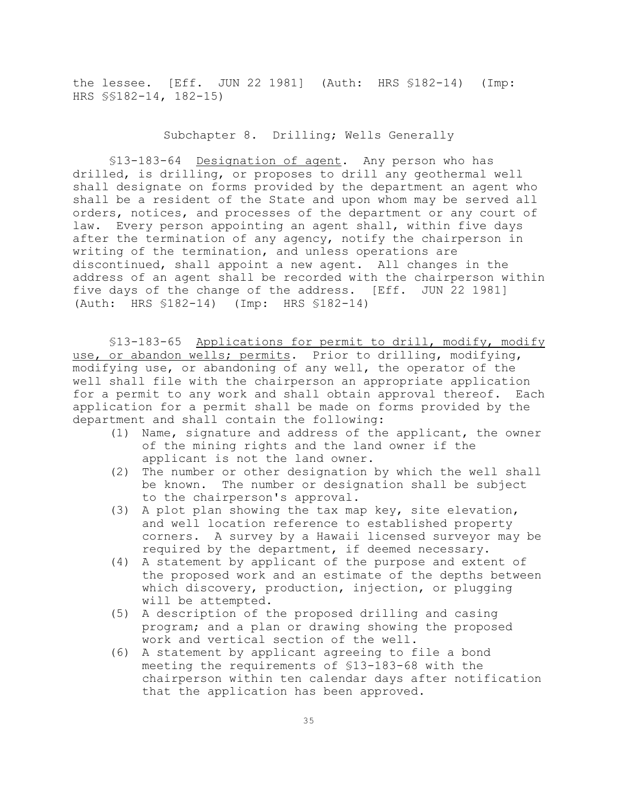the lessee. [Eff. JUN 22 1981] (Auth: HRS §182-14) (Imp: HRS §§182-14, 182-15)

### Subchapter 8. Drilling; Wells Generally

§13-183-64 Designation of agent. Any person who has drilled, is drilling, or proposes to drill any geothermal well shall designate on forms provided by the department an agent who shall be a resident of the State and upon whom may be served all orders, notices, and processes of the department or any court of law. Every person appointing an agent shall, within five days after the termination of any agency, notify the chairperson in writing of the termination, and unless operations are discontinued, shall appoint a new agent. All changes in the address of an agent shall be recorded with the chairperson within five days of the change of the address. [Eff. JUN 22 1981] (Auth: HRS §182-14) (Imp: HRS §182-14)

§13-183-65 Applications for permit to drill, modify, modify use, or abandon wells; permits. Prior to drilling, modifying, modifying use, or abandoning of any well, the operator of the well shall file with the chairperson an appropriate application for a permit to any work and shall obtain approval thereof. Each application for a permit shall be made on forms provided by the department and shall contain the following:

- (1) Name, signature and address of the applicant, the owner of the mining rights and the land owner if the applicant is not the land owner.
- (2) The number or other designation by which the well shall be known. The number or designation shall be subject to the chairperson's approval.
- (3) A plot plan showing the tax map key, site elevation, and well location reference to established property corners. A survey by a Hawaii licensed surveyor may be required by the department, if deemed necessary.
- (4) A statement by applicant of the purpose and extent of the proposed work and an estimate of the depths between which discovery, production, injection, or plugging will be attempted.
- (5) A description of the proposed drilling and casing program; and a plan or drawing showing the proposed work and vertical section of the well.
- (6) A statement by applicant agreeing to file a bond meeting the requirements of §13-183-68 with the chairperson within ten calendar days after notification that the application has been approved.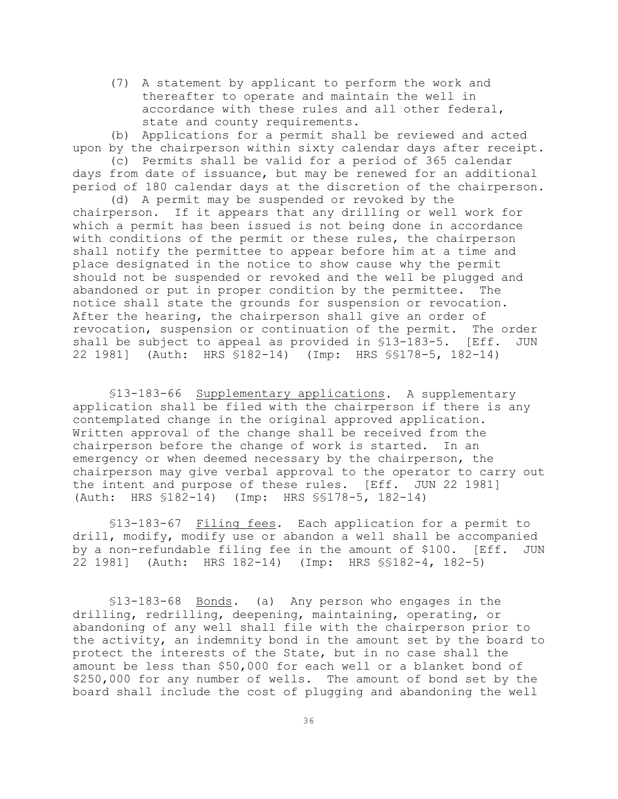(7) A statement by applicant to perform the work and thereafter to operate and maintain the well in accordance with these rules and all other federal, state and county requirements.

(b) Applications for a permit shall be reviewed and acted upon by the chairperson within sixty calendar days after receipt.

(c) Permits shall be valid for a period of 365 calendar days from date of issuance, but may be renewed for an additional period of 180 calendar days at the discretion of the chairperson. (d) A permit may be suspended or revoked by the

chairperson. If it appears that any drilling or well work for which a permit has been issued is not being done in accordance with conditions of the permit or these rules, the chairperson shall notify the permittee to appear before him at a time and place designated in the notice to show cause why the permit should not be suspended or revoked and the well be plugged and abandoned or put in proper condition by the permittee. The notice shall state the grounds for suspension or revocation. After the hearing, the chairperson shall give an order of revocation, suspension or continuation of the permit. The order shall be subject to appeal as provided in §13-183-5. [Eff. JUN 22 1981] (Auth: HRS §182-14) (Imp: HRS §§178-5, 182-14)

§13-183-66 Supplementary applications. A supplementary application shall be filed with the chairperson if there is any contemplated change in the original approved application. Written approval of the change shall be received from the chairperson before the change of work is started. In an emergency or when deemed necessary by the chairperson, the chairperson may give verbal approval to the operator to carry out the intent and purpose of these rules. [Eff. JUN 22 1981] (Auth: HRS §182-14) (Imp: HRS §§178-5, 182-14)

§13-183-67 Filing fees. Each application for a permit to drill, modify, modify use or abandon a well shall be accompanied by a non-refundable filing fee in the amount of \$100. [Eff. JUN 22 1981] (Auth: HRS 182-14) (Imp: HRS §§182-4, 182-5)

§13-183-68 Bonds. (a) Any person who engages in the drilling, redrilling, deepening, maintaining, operating, or abandoning of any well shall file with the chairperson prior to the activity, an indemnity bond in the amount set by the board to protect the interests of the State, but in no case shall the amount be less than \$50,000 for each well or a blanket bond of \$250,000 for any number of wells. The amount of bond set by the board shall include the cost of plugging and abandoning the well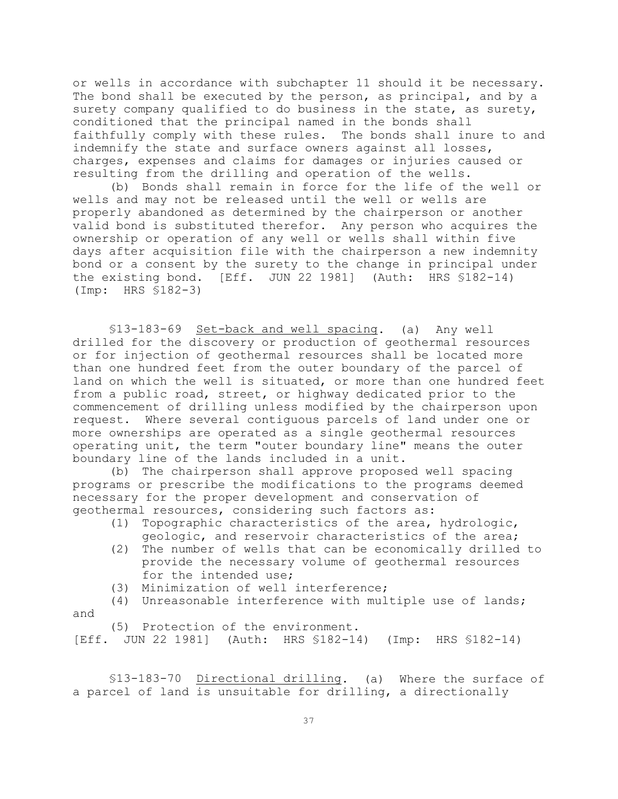or wells in accordance with subchapter 11 should it be necessary. The bond shall be executed by the person, as principal, and by a surety company qualified to do business in the state, as surety, conditioned that the principal named in the bonds shall faithfully comply with these rules. The bonds shall inure to and indemnify the state and surface owners against all losses, charges, expenses and claims for damages or injuries caused or resulting from the drilling and operation of the wells.

(b) Bonds shall remain in force for the life of the well or wells and may not be released until the well or wells are properly abandoned as determined by the chairperson or another valid bond is substituted therefor. Any person who acquires the ownership or operation of any well or wells shall within five days after acquisition file with the chairperson a new indemnity bond or a consent by the surety to the change in principal under the existing bond. [Eff. JUN 22 1981] (Auth: HRS §182-14) (Imp: HRS §182-3)

§13-183-69 Set-back and well spacing. (a) Any well drilled for the discovery or production of geothermal resources or for injection of geothermal resources shall be located more than one hundred feet from the outer boundary of the parcel of land on which the well is situated, or more than one hundred feet from a public road, street, or highway dedicated prior to the commencement of drilling unless modified by the chairperson upon request. Where several contiguous parcels of land under one or more ownerships are operated as a single geothermal resources operating unit, the term "outer boundary line" means the outer boundary line of the lands included in a unit.

(b) The chairperson shall approve proposed well spacing programs or prescribe the modifications to the programs deemed necessary for the proper development and conservation of geothermal resources, considering such factors as:

- (1) Topographic characteristics of the area, hydrologic, geologic, and reservoir characteristics of the area;
- (2) The number of wells that can be economically drilled to provide the necessary volume of geothermal resources for the intended use;
- (3) Minimization of well interference;
- (4) Unreasonable interference with multiple use of lands; and

(5) Protection of the environment.

[Eff. JUN 22 1981] (Auth: HRS §182-14) (Imp: HRS §182-14)

§13-183-70 Directional drilling. (a) Where the surface of a parcel of land is unsuitable for drilling, a directionally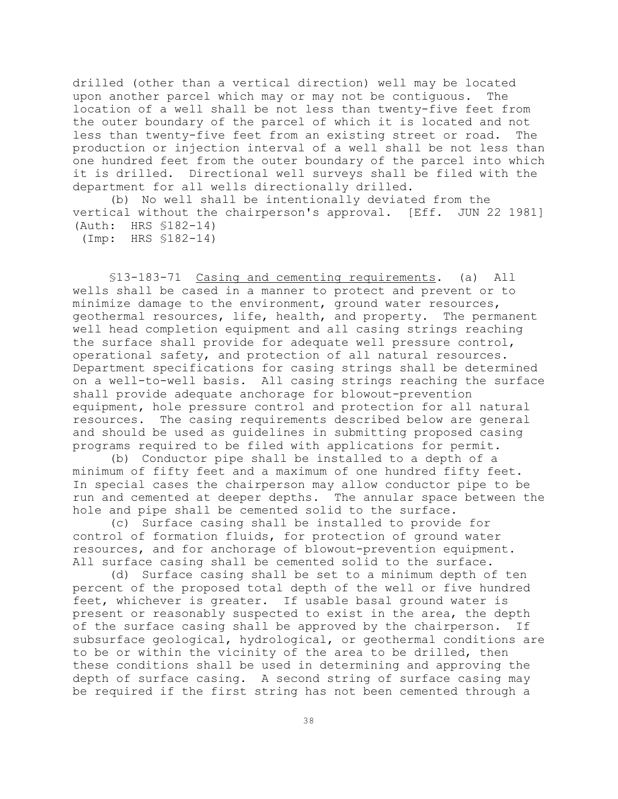drilled (other than a vertical direction) well may be located upon another parcel which may or may not be contiguous. The location of a well shall be not less than twenty-five feet from the outer boundary of the parcel of which it is located and not less than twenty-five feet from an existing street or road. The production or injection interval of a well shall be not less than one hundred feet from the outer boundary of the parcel into which it is drilled. Directional well surveys shall be filed with the department for all wells directionally drilled.

(b) No well shall be intentionally deviated from the vertical without the chairperson's approval. [Eff. JUN 22 1981] (Auth: HRS §182-14)

(Imp: HRS §182-14)

§13-183-71 Casing and cementing requirements. (a) All wells shall be cased in a manner to protect and prevent or to minimize damage to the environment, ground water resources, geothermal resources, life, health, and property. The permanent well head completion equipment and all casing strings reaching the surface shall provide for adequate well pressure control, operational safety, and protection of all natural resources. Department specifications for casing strings shall be determined on a well-to-well basis. All casing strings reaching the surface shall provide adequate anchorage for blowout-prevention equipment, hole pressure control and protection for all natural resources. The casing requirements described below are general and should be used as guidelines in submitting proposed casing programs required to be filed with applications for permit.

(b) Conductor pipe shall be installed to a depth of a minimum of fifty feet and a maximum of one hundred fifty feet. In special cases the chairperson may allow conductor pipe to be run and cemented at deeper depths. The annular space between the hole and pipe shall be cemented solid to the surface.

 (c) Surface casing shall be installed to provide for control of formation fluids, for protection of ground water resources, and for anchorage of blowout-prevention equipment. All surface casing shall be cemented solid to the surface.

(d) Surface casing shall be set to a minimum depth of ten percent of the proposed total depth of the well or five hundred feet, whichever is greater. If usable basal ground water is present or reasonably suspected to exist in the area, the depth of the surface casing shall be approved by the chairperson. If subsurface geological, hydrological, or geothermal conditions are to be or within the vicinity of the area to be drilled, then these conditions shall be used in determining and approving the depth of surface casing. A second string of surface casing may be required if the first string has not been cemented through a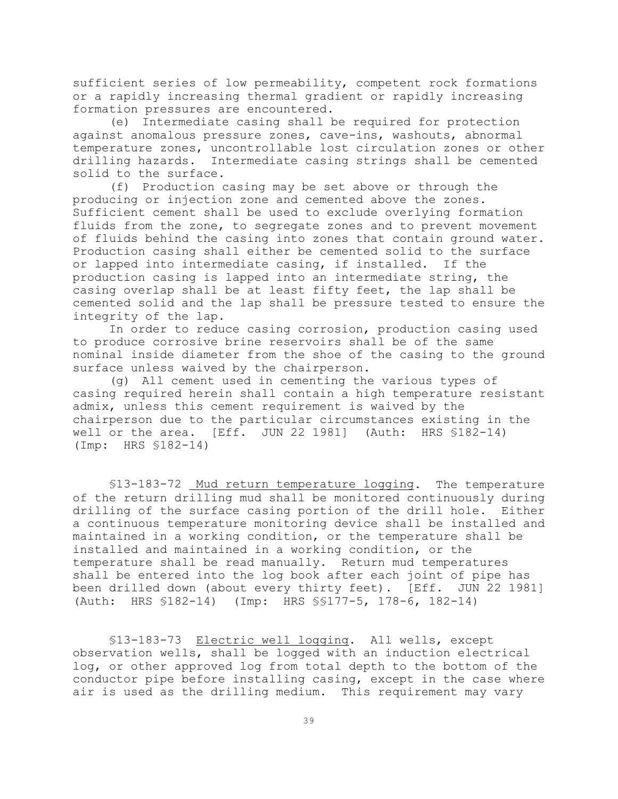sufficient series of low permeability, competent rock formations or a rapidly increasing thermal gradient or rapidly increasing formation pressures are encountered.

(e) Intermediate casing shall be required for protection against anomalous pressure zones, cave-ins, washouts, abnormal temperature zones, uncontrollable lost circulation zones or other drilling hazards. Intermediate casing strings shall be cemented solid to the surface.

(f) Production casing may be set above or through the producing or injection zone and cemented above the zones. Sufficient cement shall be used to exclude overlying formation fluids from the zone, to segregate zones and to prevent movement of fluids behind the casing into zones that contain ground water. Production casing shall either be cemented solid to the surface or lapped into intermediate casing, if installed. If the production casing is lapped into an intermediate string, the casing overlap shall be at least fifty feet, the lap shall be cemented solid and the lap shall be pressure tested to ensure the integrity of the lap.

In order to reduce casing corrosion, production casing used to produce corrosive brine reservoirs shall be of the same nominal inside diameter from the shoe of the casing to the ground surface unless waived by the chairperson.

(g) All cement used in cementing the various types of casing required herein shall contain a high temperature resistant admix, unless this cement requirement is waived by the chairperson due to the particular circumstances existing in the well or the area. [Eff. JUN 22 1981] (Auth: HRS \$182-14) (Imp: HRS §182-14)

§13-183-72 Mud return temperature logging. The temperature of the return drilling mud shall be monitored continuously during drilling of the surface casing portion of the drill hole. Either a continuous temperature monitoring device shall be installed and maintained in a working condition, or the temperature shall be installed and maintained in a working condition, or the temperature shall be read manually. Return mud temperatures shall be entered into the log book after each joint of pipe has been drilled down (about every thirty feet). [Eff. JUN 22 1981] (Auth: HRS §182-14) (Imp: HRS §§177-5, 178-6, 182-14)

§13-183-73 Electric well logging. All wells, except observation wells, shall be logged with an induction electrical log, or other approved log from total depth to the bottom of the conductor pipe before installing casing, except in the case where air is used as the drilling medium. This requirement may vary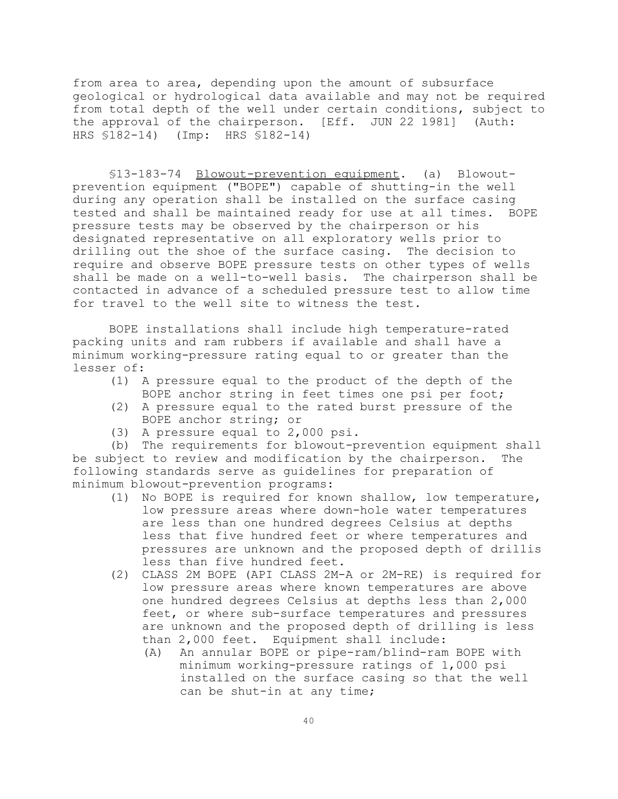from area to area, depending upon the amount of subsurface geological or hydrological data available and may not be required from total depth of the well under certain conditions, subject to the approval of the chairperson. [Eff. JUN 22 1981] (Auth: HRS §182-14) (Imp: HRS §182-14)

§13-183-74 Blowout-prevention equipment. (a) Blowoutprevention equipment ("BOPE") capable of shutting-in the well during any operation shall be installed on the surface casing tested and shall be maintained ready for use at all times. BOPE pressure tests may be observed by the chairperson or his designated representative on all exploratory wells prior to drilling out the shoe of the surface casing. The decision to require and observe BOPE pressure tests on other types of wells shall be made on a well-to-well basis. The chairperson shall be contacted in advance of a scheduled pressure test to allow time for travel to the well site to witness the test.

BOPE installations shall include high temperature-rated packing units and ram rubbers if available and shall have a minimum working-pressure rating equal to or greater than the lesser of:

- (1) A pressure equal to the product of the depth of the BOPE anchor string in feet times one psi per foot;
- (2) A pressure equal to the rated burst pressure of the BOPE anchor string; or
- (3) A pressure equal to 2,000 psi.

(b) The requirements for blowout-prevention equipment shall be subject to review and modification by the chairperson. The following standards serve as guidelines for preparation of minimum blowout-prevention programs:

- (1) No BOPE is required for known shallow, low temperature, low pressure areas where down-hole water temperatures are less than one hundred degrees Celsius at depths less that five hundred feet or where temperatures and pressures are unknown and the proposed depth of drillis less than five hundred feet.
- (2) CLASS 2M BOPE (API CLASS 2M-A or 2M-RE) is required for low pressure areas where known temperatures are above one hundred degrees Celsius at depths less than 2,000 feet, or where sub-surface temperatures and pressures are unknown and the proposed depth of drilling is less than 2,000 feet. Equipment shall include:
	- (A) An annular BOPE or pipe-ram/blind-ram BOPE with minimum working-pressure ratings of 1,000 psi installed on the surface casing so that the well can be shut-in at any time;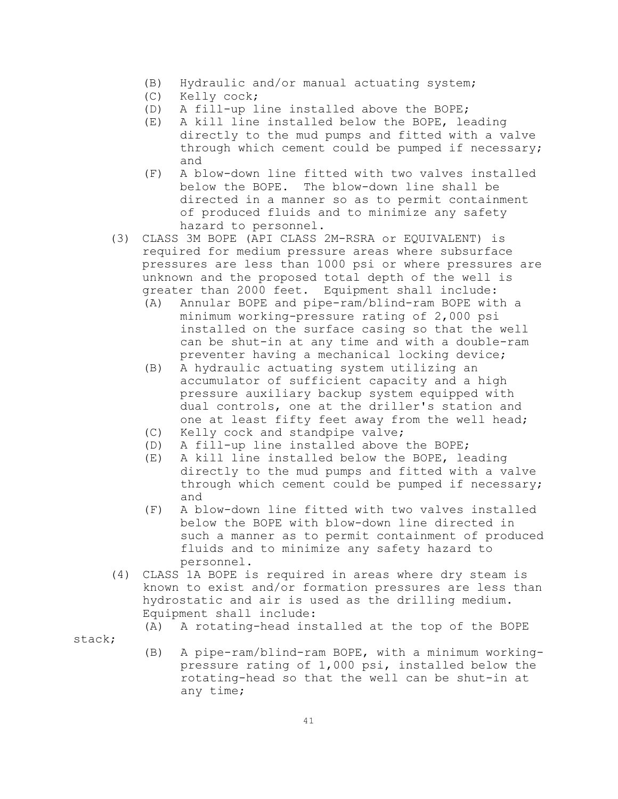- (B) Hydraulic and/or manual actuating system;
- (C) Kelly cock;
- (D) A fill-up line installed above the BOPE;
- (E) A kill line installed below the BOPE, leading directly to the mud pumps and fitted with a valve through which cement could be pumped if necessary; and
- (F) A blow-down line fitted with two valves installed below the BOPE. The blow-down line shall be directed in a manner so as to permit containment of produced fluids and to minimize any safety hazard to personnel.
- (3) CLASS 3M BOPE (API CLASS 2M-RSRA or EQUIVALENT) is required for medium pressure areas where subsurface pressures are less than 1000 psi or where pressures are unknown and the proposed total depth of the well is greater than 2000 feet. Equipment shall include:
	- (A) Annular BOPE and pipe-ram/blind-ram BOPE with a minimum working-pressure rating of 2,000 psi installed on the surface casing so that the well can be shut-in at any time and with a double-ram preventer having a mechanical locking device;
	- (B) A hydraulic actuating system utilizing an accumulator of sufficient capacity and a high pressure auxiliary backup system equipped with dual controls, one at the driller's station and one at least fifty feet away from the well head;
	- (C) Kelly cock and standpipe valve;
	- (D) A fill-up line installed above the BOPE;
	- (E) A kill line installed below the BOPE, leading directly to the mud pumps and fitted with a valve through which cement could be pumped if necessary; and
	- (F) A blow-down line fitted with two valves installed below the BOPE with blow-down line directed in such a manner as to permit containment of produced fluids and to minimize any safety hazard to personnel.
- (4) CLASS 1A BOPE is required in areas where dry steam is known to exist and/or formation pressures are less than hydrostatic and air is used as the drilling medium. Equipment shall include:

(A) A rotating-head installed at the top of the BOPE

stack;

(B) A pipe-ram/blind-ram BOPE, with a minimum workingpressure rating of 1,000 psi, installed below the rotating-head so that the well can be shut-in at any time;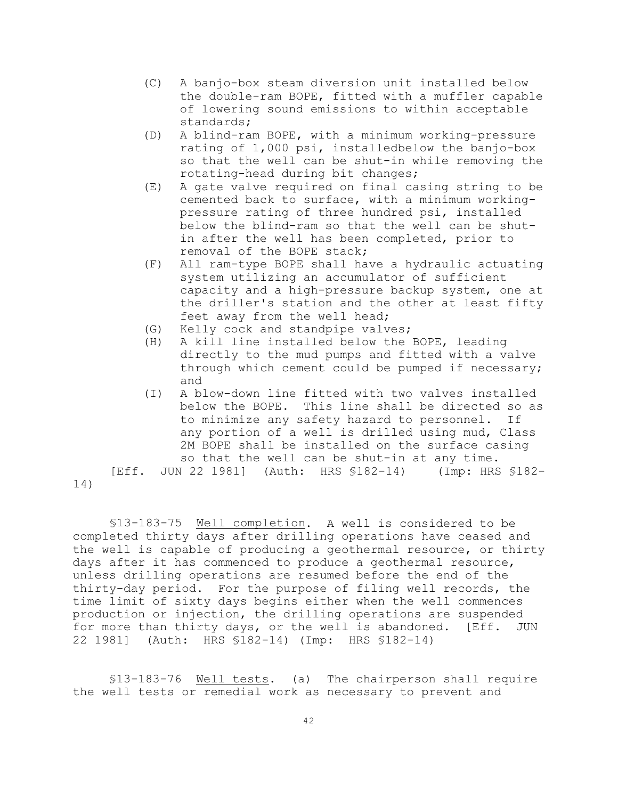- (C) A banjo-box steam diversion unit installed below the double-ram BOPE, fitted with a muffler capable of lowering sound emissions to within acceptable standards;
- (D) A blind-ram BOPE, with a minimum working-pressure rating of 1,000 psi, installedbelow the banjo-box so that the well can be shut-in while removing the rotating-head during bit changes;
- (E) A gate valve required on final casing string to be cemented back to surface, with a minimum workingpressure rating of three hundred psi, installed below the blind-ram so that the well can be shutin after the well has been completed, prior to removal of the BOPE stack;
- (F) All ram-type BOPE shall have a hydraulic actuating system utilizing an accumulator of sufficient capacity and a high-pressure backup system, one at the driller's station and the other at least fifty feet away from the well head;
- (G) Kelly cock and standpipe valves;

14)

- (H) A kill line installed below the BOPE, leading directly to the mud pumps and fitted with a valve through which cement could be pumped if necessary; and
- (I) A blow-down line fitted with two valves installed below the BOPE. This line shall be directed so as to minimize any safety hazard to personnel. If any portion of a well is drilled using mud, Class 2M BOPE shall be installed on the surface casing so that the well can be shut-in at any time.

[Eff. JUN 22 1981] (Auth: HRS §182-14) (Imp: HRS §182-

§13-183-75 Well completion. A well is considered to be completed thirty days after drilling operations have ceased and the well is capable of producing a geothermal resource, or thirty days after it has commenced to produce a geothermal resource, unless drilling operations are resumed before the end of the thirty-day period. For the purpose of filing well records, the time limit of sixty days begins either when the well commences production or injection, the drilling operations are suspended for more than thirty days, or the well is abandoned. [Eff. JUN 22 1981] (Auth: HRS §182-14) (Imp: HRS §182-14)

§13-183-76 Well tests. (a) The chairperson shall require the well tests or remedial work as necessary to prevent and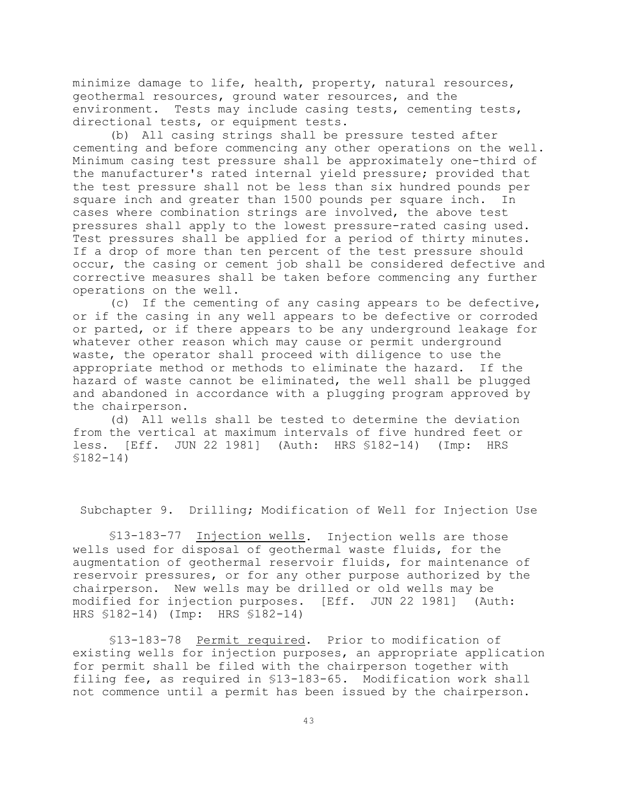minimize damage to life, health, property, natural resources, geothermal resources, ground water resources, and the environment. Tests may include casing tests, cementing tests, directional tests, or equipment tests.

(b) All casing strings shall be pressure tested after cementing and before commencing any other operations on the well. Minimum casing test pressure shall be approximately one-third of the manufacturer's rated internal yield pressure; provided that the test pressure shall not be less than six hundred pounds per square inch and greater than 1500 pounds per square inch. In cases where combination strings are involved, the above test pressures shall apply to the lowest pressure-rated casing used. Test pressures shall be applied for a period of thirty minutes. If a drop of more than ten percent of the test pressure should occur, the casing or cement job shall be considered defective and corrective measures shall be taken before commencing any further operations on the well.

(c) If the cementing of any casing appears to be defective, or if the casing in any well appears to be defective or corroded or parted, or if there appears to be any underground leakage for whatever other reason which may cause or permit underground waste, the operator shall proceed with diligence to use the appropriate method or methods to eliminate the hazard. If the hazard of waste cannot be eliminated, the well shall be plugged and abandoned in accordance with a plugging program approved by the chairperson.

(d) All wells shall be tested to determine the deviation from the vertical at maximum intervals of five hundred feet or less. [Eff. JUN 22 1981] (Auth: HRS §182-14) (Imp: HRS §182-14)

Subchapter 9. Drilling; Modification of Well for Injection Use

§13-183-77 Injection wells. Injection wells are those wells used for disposal of geothermal waste fluids, for the augmentation of geothermal reservoir fluids, for maintenance of reservoir pressures, or for any other purpose authorized by the chairperson. New wells may be drilled or old wells may be modified for injection purposes. [Eff. JUN 22 1981] (Auth: HRS §182-14) (Imp: HRS §182-14)

§13-183-78 Permit required. Prior to modification of existing wells for injection purposes, an appropriate application for permit shall be filed with the chairperson together with filing fee, as required in §13-183-65. Modification work shall not commence until a permit has been issued by the chairperson.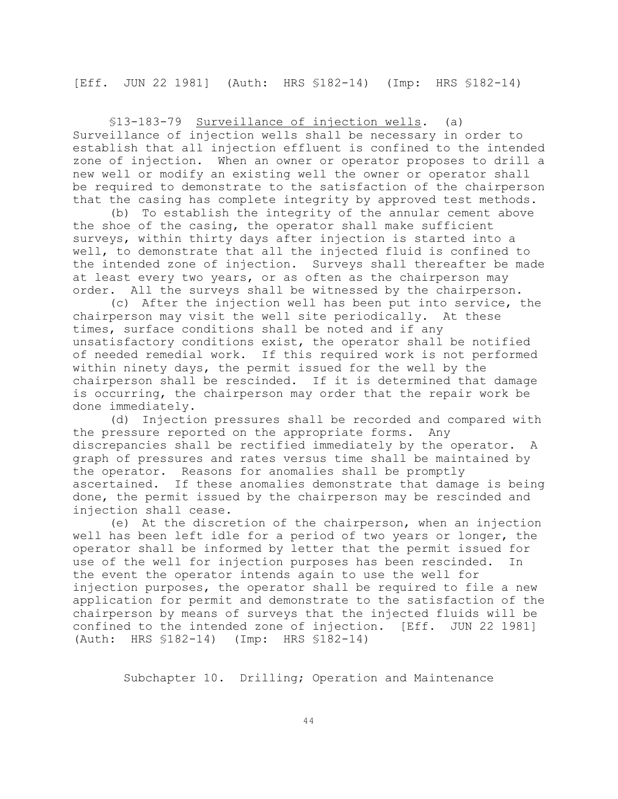[Eff. JUN 22 1981] (Auth: HRS §182-14) (Imp: HRS §182-14)

§13-183-79 Surveillance of injection wells. (a) Surveillance of injection wells shall be necessary in order to establish that all injection effluent is confined to the intended zone of injection. When an owner or operator proposes to drill a new well or modify an existing well the owner or operator shall be required to demonstrate to the satisfaction of the chairperson that the casing has complete integrity by approved test methods.

(b) To establish the integrity of the annular cement above the shoe of the casing, the operator shall make sufficient surveys, within thirty days after injection is started into a well, to demonstrate that all the injected fluid is confined to the intended zone of injection. Surveys shall thereafter be made at least every two years, or as often as the chairperson may order. All the surveys shall be witnessed by the chairperson.

(c) After the injection well has been put into service, the chairperson may visit the well site periodically. At these times, surface conditions shall be noted and if any unsatisfactory conditions exist, the operator shall be notified of needed remedial work. If this required work is not performed within ninety days, the permit issued for the well by the chairperson shall be rescinded. If it is determined that damage is occurring, the chairperson may order that the repair work be done immediately.

(d) Injection pressures shall be recorded and compared with the pressure reported on the appropriate forms. Any discrepancies shall be rectified immediately by the operator. A graph of pressures and rates versus time shall be maintained by the operator. Reasons for anomalies shall be promptly ascertained. If these anomalies demonstrate that damage is being done, the permit issued by the chairperson may be rescinded and injection shall cease.

(e) At the discretion of the chairperson, when an injection well has been left idle for a period of two years or longer, the operator shall be informed by letter that the permit issued for use of the well for injection purposes has been rescinded. In the event the operator intends again to use the well for injection purposes, the operator shall be required to file a new application for permit and demonstrate to the satisfaction of the chairperson by means of surveys that the injected fluids will be confined to the intended zone of injection. [Eff. JUN 22 1981] (Auth: HRS §182-14) (Imp: HRS §182-14)

Subchapter 10. Drilling; Operation and Maintenance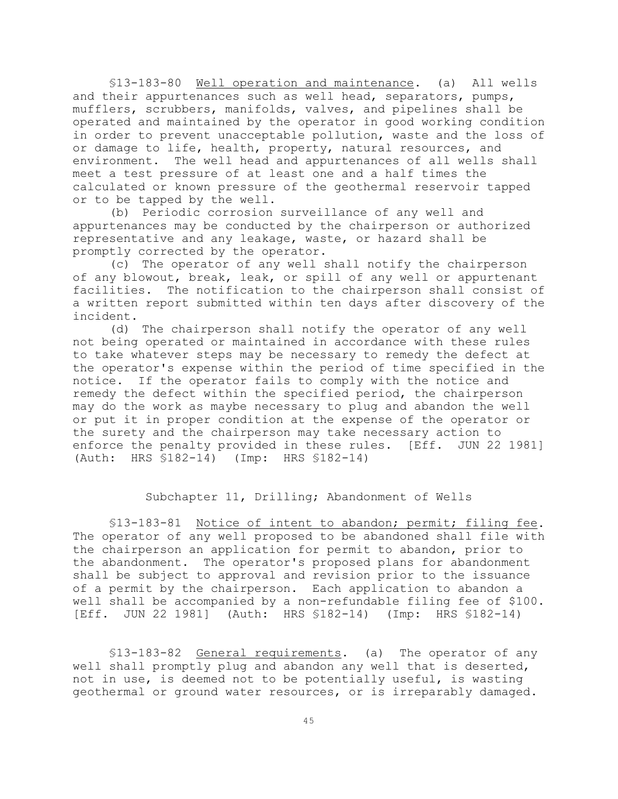§13-183-80 Well operation and maintenance. (a) All wells and their appurtenances such as well head, separators, pumps, mufflers, scrubbers, manifolds, valves, and pipelines shall be operated and maintained by the operator in good working condition in order to prevent unacceptable pollution, waste and the loss of or damage to life, health, property, natural resources, and environment. The well head and appurtenances of all wells shall meet a test pressure of at least one and a half times the calculated or known pressure of the geothermal reservoir tapped or to be tapped by the well.

(b) Periodic corrosion surveillance of any well and appurtenances may be conducted by the chairperson or authorized representative and any leakage, waste, or hazard shall be promptly corrected by the operator.

(c) The operator of any well shall notify the chairperson of any blowout, break, leak, or spill of any well or appurtenant facilities. The notification to the chairperson shall consist of a written report submitted within ten days after discovery of the incident.

(d) The chairperson shall notify the operator of any well not being operated or maintained in accordance with these rules to take whatever steps may be necessary to remedy the defect at the operator's expense within the period of time specified in the notice. If the operator fails to comply with the notice and remedy the defect within the specified period, the chairperson may do the work as maybe necessary to plug and abandon the well or put it in proper condition at the expense of the operator or the surety and the chairperson may take necessary action to enforce the penalty provided in these rules. [Eff. JUN 22 1981] (Auth: HRS §182-14) (Imp: HRS §182-14)

## Subchapter 11, Drilling; Abandonment of Wells

§13-183-81 Notice of intent to abandon; permit; filing fee. The operator of any well proposed to be abandoned shall file with the chairperson an application for permit to abandon, prior to the abandonment. The operator's proposed plans for abandonment shall be subject to approval and revision prior to the issuance of a permit by the chairperson. Each application to abandon a well shall be accompanied by a non-refundable filing fee of \$100. [Eff. JUN 22 1981] (Auth: HRS §182-14) (Imp: HRS §182-14)

§13-183-82 General requirements. (a) The operator of any well shall promptly plug and abandon any well that is deserted, not in use, is deemed not to be potentially useful, is wasting geothermal or ground water resources, or is irreparably damaged.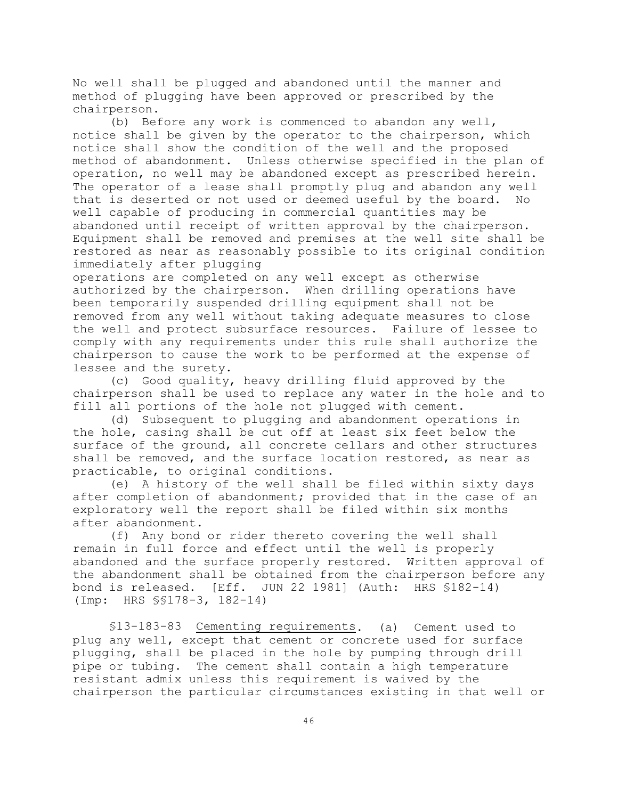No well shall be plugged and abandoned until the manner and method of plugging have been approved or prescribed by the chairperson.

(b) Before any work is commenced to abandon any well, notice shall be given by the operator to the chairperson, which notice shall show the condition of the well and the proposed method of abandonment. Unless otherwise specified in the plan of operation, no well may be abandoned except as prescribed herein. The operator of a lease shall promptly plug and abandon any well that is deserted or not used or deemed useful by the board. No well capable of producing in commercial quantities may be abandoned until receipt of written approval by the chairperson. Equipment shall be removed and premises at the well site shall be restored as near as reasonably possible to its original condition immediately after plugging

operations are completed on any well except as otherwise authorized by the chairperson. When drilling operations have been temporarily suspended drilling equipment shall not be removed from any well without taking adequate measures to close the well and protect subsurface resources. Failure of lessee to comply with any requirements under this rule shall authorize the chairperson to cause the work to be performed at the expense of lessee and the surety.

(c) Good quality, heavy drilling fluid approved by the chairperson shall be used to replace any water in the hole and to fill all portions of the hole not plugged with cement.

(d) Subsequent to plugging and abandonment operations in the hole, casing shall be cut off at least six feet below the surface of the ground, all concrete cellars and other structures shall be removed, and the surface location restored, as near as practicable, to original conditions.

(e) A history of the well shall be filed within sixty days after completion of abandonment; provided that in the case of an exploratory well the report shall be filed within six months after abandonment.

(f) Any bond or rider thereto covering the well shall remain in full force and effect until the well is properly abandoned and the surface properly restored. Written approval of the abandonment shall be obtained from the chairperson before any bond is released. [Eff. JUN 22 1981] (Auth: HRS §182-14) (Imp: HRS §§178-3, 182-14)

§13-183-83 Cementing requirements. (a) Cement used to plug any well, except that cement or concrete used for surface plugging, shall be placed in the hole by pumping through drill pipe or tubing. The cement shall contain a high temperature resistant admix unless this requirement is waived by the chairperson the particular circumstances existing in that well or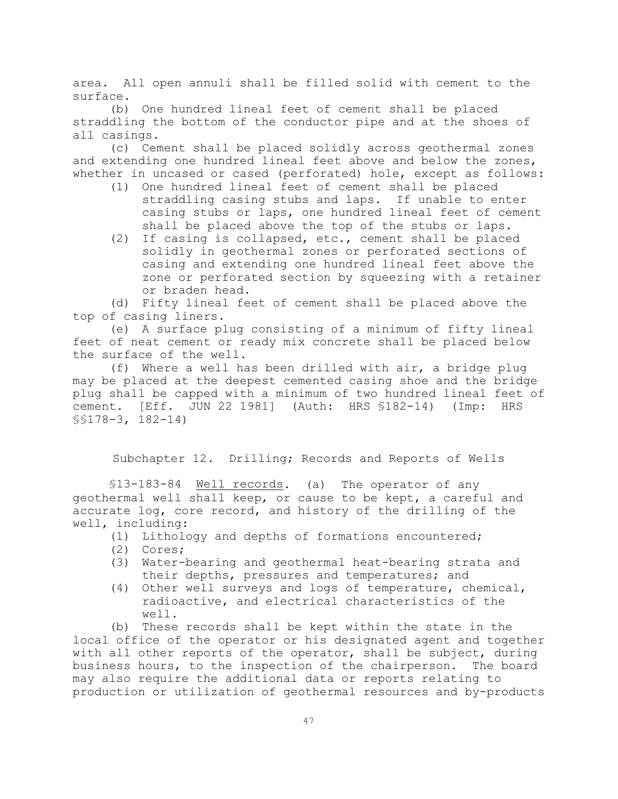area. All open annuli shall be filled solid with cement to the surface.

(b) One hundred lineal feet of cement shall be placed straddling the bottom of the conductor pipe and at the shoes of all casings.

(c) Cement shall be placed solidly across geothermal zones and extending one hundred lineal feet above and below the zones, whether in uncased or cased (perforated) hole, except as follows:

- (1) One hundred lineal feet of cement shall be placed straddling casing stubs and laps. If unable to enter casing stubs or laps, one hundred lineal feet of cement shall be placed above the top of the stubs or laps.
- (2) If casing is collapsed, etc., cement shall be placed solidly in geothermal zones or perforated sections of casing and extending one hundred lineal feet above the zone or perforated section by squeezing with a retainer or braden head.

(d) Fifty lineal feet of cement shall be placed above the top of casing liners.

(e) A surface plug consisting of a minimum of fifty lineal feet of neat cement or ready mix concrete shall be placed below the surface of the well.

(f) Where a well has been drilled with air, a bridge plug may be placed at the deepest cemented casing shoe and the bridge plug shall be capped with a minimum of two hundred lineal feet of cement. [Eff. JUN 22 1981] (Auth: HRS §182-14) (Imp: HRS §§178-3, 182-14)

Subchapter 12. Drilling; Records and Reports of Wells

§13-183-84 Well records. (a) The operator of any geothermal well shall keep, or cause to be kept, a careful and accurate log, core record, and history of the drilling of the well, including:

- (1) Lithology and depths of formations encountered;
- (2) Cores;
- (3) Water-bearing and geothermal heat-bearing strata and their depths, pressures and temperatures; and
- (4) Other well surveys and logs of temperature, chemical, radioactive, and electrical characteristics of the well.

(b) These records shall be kept within the state in the local office of the operator or his designated agent and together with all other reports of the operator, shall be subject, during business hours, to the inspection of the chairperson. The board may also require the additional data or reports relating to production or utilization of geothermal resources and by-products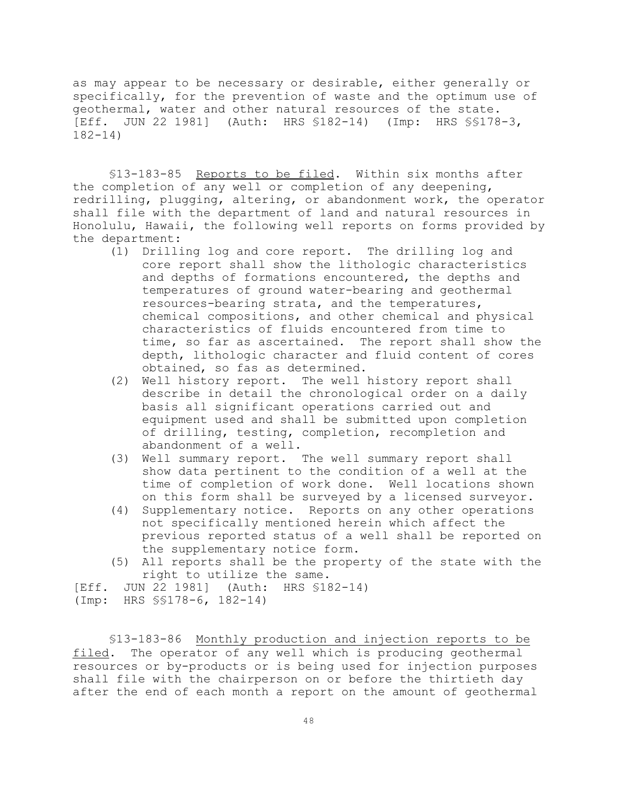as may appear to be necessary or desirable, either generally or specifically, for the prevention of waste and the optimum use of geothermal, water and other natural resources of the state. [Eff. JUN 22 1981] (Auth: HRS §182-14) (Imp: HRS §§178-3, 182-14)

§13-183-85 Reports to be filed. Within six months after the completion of any well or completion of any deepening, redrilling, plugging, altering, or abandonment work, the operator shall file with the department of land and natural resources in Honolulu, Hawaii, the following well reports on forms provided by the department:

- (1) Drilling log and core report. The drilling log and core report shall show the lithologic characteristics and depths of formations encountered, the depths and temperatures of ground water-bearing and geothermal resources-bearing strata, and the temperatures, chemical compositions, and other chemical and physical characteristics of fluids encountered from time to time, so far as ascertained. The report shall show the depth, lithologic character and fluid content of cores obtained, so fas as determined.
- (2) Well history report. The well history report shall describe in detail the chronological order on a daily basis all significant operations carried out and equipment used and shall be submitted upon completion of drilling, testing, completion, recompletion and abandonment of a well.
- (3) Well summary report. The well summary report shall show data pertinent to the condition of a well at the time of completion of work done. Well locations shown on this form shall be surveyed by a licensed surveyor.
- (4) Supplementary notice. Reports on any other operations not specifically mentioned herein which affect the previous reported status of a well shall be reported on the supplementary notice form.
- (5) All reports shall be the property of the state with the right to utilize the same.

[Eff. JUN 22 1981] (Auth: HRS §182-14)

(Imp: HRS §§178-6, 182-14)

§13-183-86 Monthly production and injection reports to be filed. The operator of any well which is producing geothermal resources or by-products or is being used for injection purposes shall file with the chairperson on or before the thirtieth day after the end of each month a report on the amount of geothermal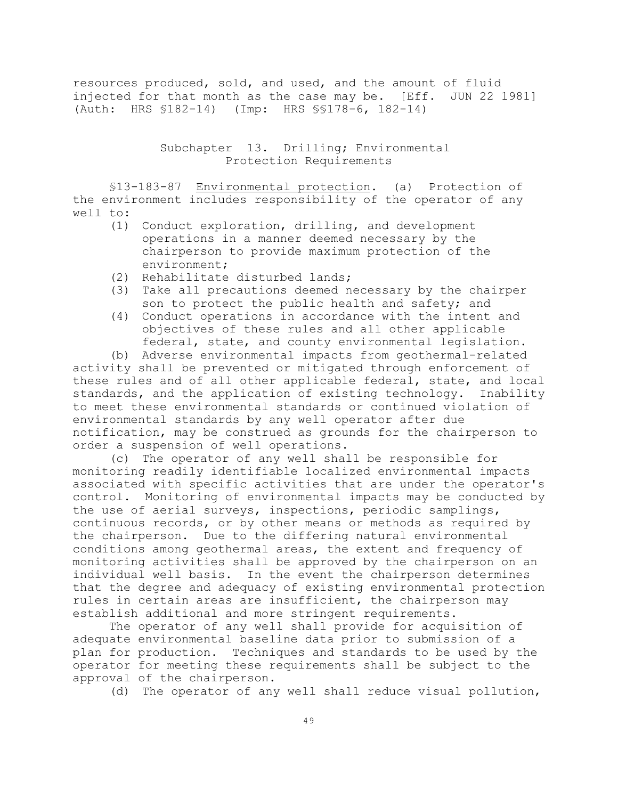resources produced, sold, and used, and the amount of fluid injected for that month as the case may be. [Eff. JUN 22 1981] (Auth: HRS §182-14) (Imp: HRS §§178-6, 182-14)

> Subchapter 13. Drilling; Environmental Protection Requirements

§13-183-87 Environmental protection. (a) Protection of the environment includes responsibility of the operator of any well to:

- (1) Conduct exploration, drilling, and development operations in a manner deemed necessary by the chairperson to provide maximum protection of the environment;
- (2) Rehabilitate disturbed lands;
- (3) Take all precautions deemed necessary by the chairper son to protect the public health and safety; and
- (4) Conduct operations in accordance with the intent and objectives of these rules and all other applicable federal, state, and county environmental legislation.

(b) Adverse environmental impacts from geothermal-related activity shall be prevented or mitigated through enforcement of these rules and of all other applicable federal, state, and local standards, and the application of existing technology. Inability to meet these environmental standards or continued violation of environmental standards by any well operator after due notification, may be construed as grounds for the chairperson to order a suspension of well operations.

(c) The operator of any well shall be responsible for monitoring readily identifiable localized environmental impacts associated with specific activities that are under the operator's control. Monitoring of environmental impacts may be conducted by the use of aerial surveys, inspections, periodic samplings, continuous records, or by other means or methods as required by the chairperson. Due to the differing natural environmental conditions among geothermal areas, the extent and frequency of monitoring activities shall be approved by the chairperson on an individual well basis. In the event the chairperson determines that the degree and adequacy of existing environmental protection rules in certain areas are insufficient, the chairperson may establish additional and more stringent requirements.

The operator of any well shall provide for acquisition of adequate environmental baseline data prior to submission of a plan for production. Techniques and standards to be used by the operator for meeting these requirements shall be subject to the approval of the chairperson.

(d) The operator of any well shall reduce visual pollution,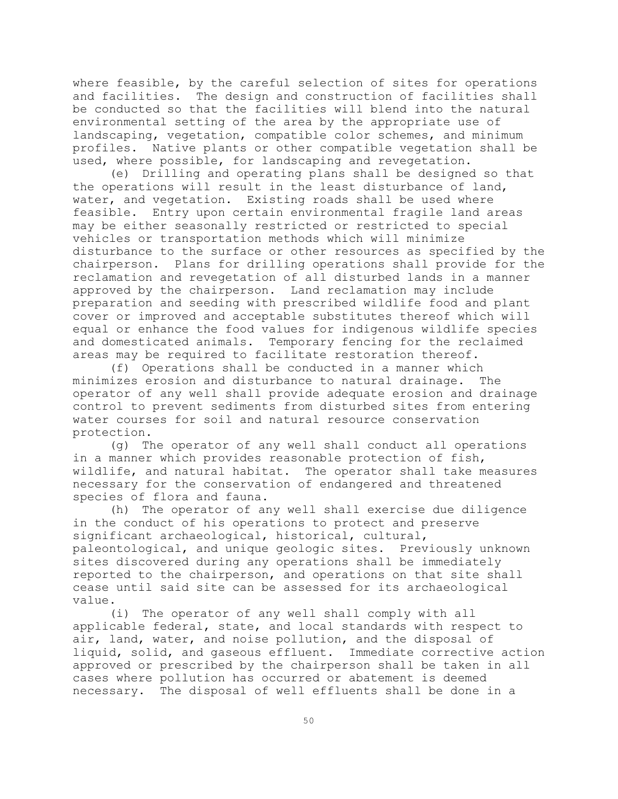where feasible, by the careful selection of sites for operations and facilities. The design and construction of facilities shall be conducted so that the facilities will blend into the natural environmental setting of the area by the appropriate use of landscaping, vegetation, compatible color schemes, and minimum profiles. Native plants or other compatible vegetation shall be used, where possible, for landscaping and revegetation.

(e) Drilling and operating plans shall be designed so that the operations will result in the least disturbance of land, water, and vegetation. Existing roads shall be used where feasible. Entry upon certain environmental fragile land areas may be either seasonally restricted or restricted to special vehicles or transportation methods which will minimize disturbance to the surface or other resources as specified by the chairperson. Plans for drilling operations shall provide for the reclamation and revegetation of all disturbed lands in a manner approved by the chairperson. Land reclamation may include preparation and seeding with prescribed wildlife food and plant cover or improved and acceptable substitutes thereof which will equal or enhance the food values for indigenous wildlife species and domesticated animals. Temporary fencing for the reclaimed areas may be required to facilitate restoration thereof.

(f) Operations shall be conducted in a manner which minimizes erosion and disturbance to natural drainage. The operator of any well shall provide adequate erosion and drainage control to prevent sediments from disturbed sites from entering water courses for soil and natural resource conservation protection.

(g) The operator of any well shall conduct all operations in a manner which provides reasonable protection of fish, wildlife, and natural habitat. The operator shall take measures necessary for the conservation of endangered and threatened species of flora and fauna.

(h) The operator of any well shall exercise due diligence in the conduct of his operations to protect and preserve significant archaeological, historical, cultural, paleontological, and unique geologic sites. Previously unknown sites discovered during any operations shall be immediately reported to the chairperson, and operations on that site shall cease until said site can be assessed for its archaeological value.

(i) The operator of any well shall comply with all applicable federal, state, and local standards with respect to air, land, water, and noise pollution, and the disposal of liquid, solid, and gaseous effluent. Immediate corrective action approved or prescribed by the chairperson shall be taken in all cases where pollution has occurred or abatement is deemed necessary. The disposal of well effluents shall be done in a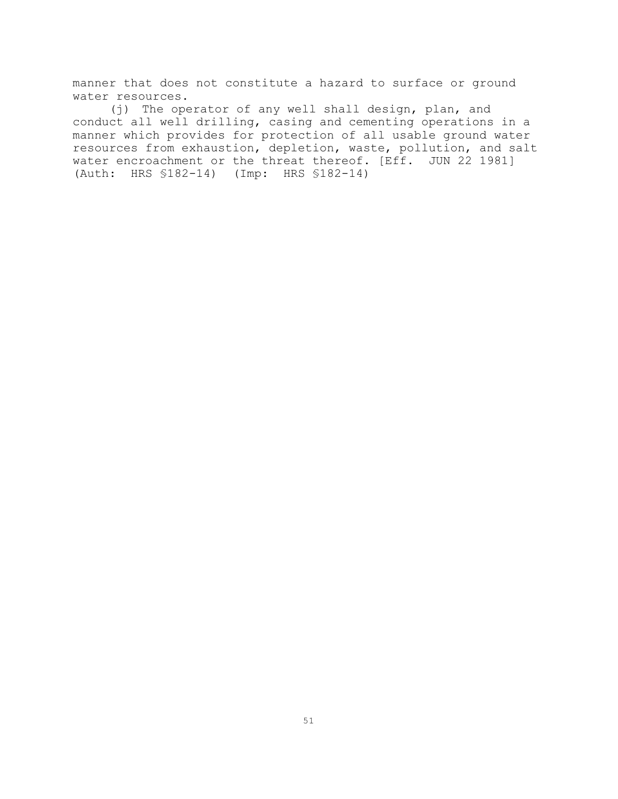manner that does not constitute a hazard to surface or ground water resources.

(j) The operator of any well shall design, plan, and conduct all well drilling, casing and cementing operations in a manner which provides for protection of all usable ground water resources from exhaustion, depletion, waste, pollution, and salt water encroachment or the threat thereof. [Eff. JUN 22 1981] (Auth: HRS §182-14) (Imp: HRS §182-14)